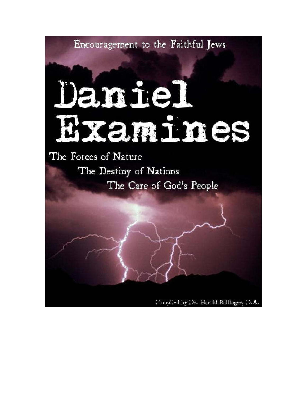Encouragement to the Faithful Jews

# Daniel Exantines

The Forces of Nature The Destiny of Nations The Care of God's People

Compiled by Dr. Harold Bollinger, D.A.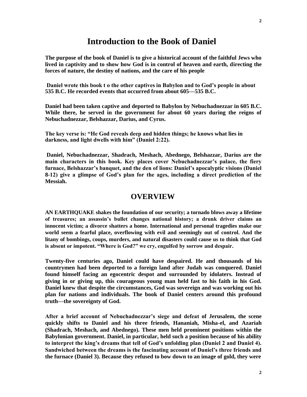#### **Introduction to the Book of Daniel**

**The purpose of the book of Daniel is to give a historical account of the faithful Jews who lived in captivity and to show how God is in control of heaven and earth, directing the forces of nature, the destiny of nations, and the care of his people**

**Daniel wrote this book t o the other captives in Babylon and to God's people in about 535 B.C. He recorded events that occurred from about 605—535 B.C.**

**Daniel had been taken captive and deported to Babylon by Nebuchadnezzar in 605 B.C. While there, he served in the government for about 60 years during the reigns of Nebuchadnezzar, Belshazzar, Darius, and Cyrus.**

**The key verse is: "He God reveals deep and hidden things; he knows what lies in darkness, and light dwells with him" (Daniel 2:22).**

**Daniel, Nebuchadnezzar, Shadrach, Meshach, Abednego, Belshazzar, Darius are the main characters in this book. Key places cover Nebuchadnezzar's palace, the fiery furnace, Belshazzar's banquet, and the den of lions: Daniel's apocalyptic visions (Daniel 8-12) give a glimpse of God's plan for the ages, including a direct prediction of the Messiah.**

#### **OVERVIEW**

**AN EARTHQUAKE shakes the foundation of our security; a tornado blows away a lifetime of treasures; an assassin's bullet changes national history; a drunk driver claims an innocent victim; a divorce shatters a home. International and personal tragedies make our world seem a fearful place, overflowing with evil and seemingly out of control. And the litany of bombings, coups, murders, and natural disasters could cause us to think that God is absent or impotent. "Where is God?" we cry, engulfed by sorrow and despair.**

**Twenty-five centuries ago, Daniel could have despaired. He and thousands of his countrymen had been deported to a foreign land after Judah was conquered. Daniel found himself facing an egocentric despot and surrounded by idolaters. Instead of giving in or giving up, this courageous young man held fast to his faith in his God. Daniel knew that despite the circumstances, God was sovereign and was working out his plan for nations and individuals. The book of Daniel centers around this profound truth—the sovereignty of God.**

**After a brief account of Nebuchadnezzar's siege and defeat of Jerusalem, the scene quickly shifts to Daniel and his three friends, Hananiah, Misha-el, and Azariah (Shadrach, Meshach, and Abednego). These men held prominent positions within the Babylonian government. Daniel, in particular, held such a position because of his ability to interpret the king's dreams that tell of God's unfolding plan (Daniel 2 and Daniel 4). Sandwiched between the dreams is the fascinating account of Daniel's three friends and the furnace (Daniel 3). Because they refused to bow down to an image of gold, they were**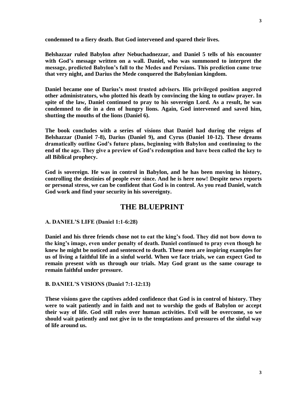**condemned to a fiery death. But God intervened and spared their lives.**

**Belshazzar ruled Babylon after Nebuchadnezzar, and Daniel 5 tells of his encounter with God's message written on a wall. Daniel, who was summoned to interpret the message, predicted Babylon's fall to the Medes and Persians. This prediction came true that very night, and Darius the Mede conquered the Babylonian kingdom.**

**Daniel became one of Darius's most trusted advisers. His privileged position angered other administrators, who plotted his death by convincing the king to outlaw prayer. In spite of the law, Daniel continued to pray to his sovereign Lord. As a result, he was condemned to die in a den of hungry lions. Again, God intervened and saved him, shutting the mouths of the lions (Daniel 6).**

**The book concludes with a series of visions that Daniel had during the reigns of Belshazzar (Daniel 7-8), Darius (Daniel 9), and Cyrus (Daniel 10-12). These dreams dramatically outline God's future plans, beginning with Babylon and continuing to the end of the age. They give a preview of God's redemption and have been called the key to all Biblical prophecy.**

**God is sovereign. He was in control in Babylon, and he has been moving in history, controlling the destinies of people ever since. And he is here now! Despite news reports or personal stress, we can be confident that God is in control. As you read Daniel, watch God work and find your security in his sovereignty.**

#### **THE BLUEPRINT**

**A. DANIEL'S LIFE (Daniel 1:1-6:28)**

**Daniel and his three friends chose not to eat the king's food. They did not bow down to the king's image, even under penalty of death. Daniel continued to pray even though he knew he might be noticed and sentenced to death. These men are inspiring examples for us of living a faithful life in a sinful world. When we face trials, we can expect God to remain present with us through our trials. May God grant us the same courage to remain faithful under pressure.**

#### **B. DANIEL'S VISIONS (Daniel 7:1-12:13)**

**These visions gave the captives added confidence that God is in control of history. They were to wait patiently and in faith and not to worship the gods of Babylon or accept their way of life. God still rules over human activities. Evil will be overcome, so we should wait patiently and not give in to the temptations and pressures of the sinful way of life around us.**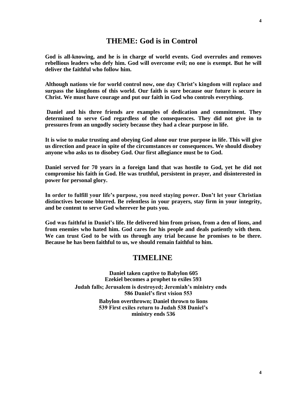#### **THEME: God is in Control**

**God is all-knowing, and he is in charge of world events. God overrules and removes rebellious leaders who defy him. God will overcome evil; no one is exempt. But he will deliver the faithful who follow him.**

**Although nations vie for world control now, one day Christ's kingdom will replace and surpass the kingdoms of this world. Our faith is sure because our future is secure in Christ. We must have courage and put our faith in God who controls everything.**

**Daniel and his three friends are examples of dedication and commitment. They determined to serve God regardless of the consequences. They did not give in to pressures from an ungodly society because they had a clear purpose in life.**

**It is wise to make trusting and obeying God alone our true purpose in life. This will give us direction and peace in spite of the circumstances or consequences. We should disobey anyone who asks us to disobey God. Our first allegiance must be to God.**

**Daniel served for 70 years in a foreign land that was hostile to God, yet he did not compromise his faith in God. He was truthful, persistent in prayer, and disinterested in power for personal glory.**

**In order to fulfill your life's purpose, you need staying power. Don't let your Christian distinctives become blurred. Be relentless in your prayers, stay firm in your integrity, and be content to serve God wherever he puts you.**

**God was faithful in Daniel's life. He delivered him from prison, from a den of lions, and from enemies who hated him. God cares for his people and deals patiently with them. We can trust God to be with us through any trial because he promises to be there. Because he has been faithful to us, we should remain faithful to him.**

#### **TIMELINE**

**Daniel taken captive to Babylon 605 Ezekiel becomes a prophet to exiles 593 Judah falls; Jerusalem is destroyed; Jeremiah's ministry ends 586 Daniel's first vision 553 Babylon overthrown; Daniel thrown to lions 539 First exiles return to Judah 538 Daniel's ministry ends 536**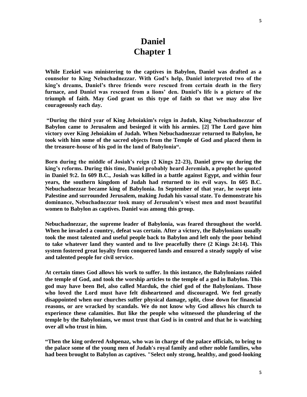**5**

## **Daniel Chapter 1**

**While Ezekiel was ministering to the captives in Babylon, Daniel was drafted as a counselor to King Nebuchadnezzar. With God's help, Daniel interpreted two of the king's dreams, Daniel's three friends were rescued from certain death in the fiery furnace, and Daniel was rescued from a lions' den. Daniel's life is a picture of the triumph of faith. May God grant us this type of faith so that we may also live courageously each day.**

**"During the third year of King Jehoiakim's reign in Judah, King Nebuchadnezzar of Babylon came to Jerusalem and besieged it with his armies. [2] The Lord gave him victory over King Jehoiakim of Judah. When Nebuchadnezzar returned to Babylon, he took with him some of the sacred objects from the Temple of God and placed them in the treasure-house of his god in the land of Babylonia".**

**Born during the middle of Josiah's reign (2 Kings 22-23), Daniel grew up during the king's reforms. During this time, Daniel probably heard Jeremiah, a prophet he quoted in Daniel 9:2. In 609 B.C., Josiah was killed in a battle against Egypt, and within four years, the southern kingdom of Judah had returned to its evil ways. In 605 B.C. Nebuchadnezzar became king of Babylonia. In September of that year, he swept into Palestine and surrounded Jerusalem, making Judah his vassal state. To demonstrate his dominance, Nebuchadnezzar took many of Jerusalem's wisest men and most beautiful women to Babylon as captives. Daniel was among this group.**

**Nebuchadnezzar, the supreme leader of Babylonia, was feared throughout the world. When he invaded a country, defeat was certain. After a victory, the Babylonians usually took the most talented and useful people back to Babylon and left only the poor behind to take whatever land they wanted and to live peacefully there (2 Kings 24:14). This system fostered great loyalty from conquered lands and ensured a steady supply of wise and talented people for civil service.**

**At certain times God allows his work to suffer. In this instance, the Babylonians raided the temple of God, and took the worship articles to the temple of a god in Babylon. This god may have been Bel, also called Marduk, the chief god of the Babylonians. Those who loved the Lord must have felt disheartened and discouraged. We feel greatly disappointed when our churches suffer physical damage, split, close down for financial reasons, or are wracked by scandals. We do not know why God allows his church to experience these calamities. But like the people who witnessed the plundering of the temple by the Babylonians, we must trust that God is in control and that he is watching over all who trust in him.**

**"Then the king ordered Ashpenaz, who was in charge of the palace officials, to bring to the palace some of the young men of Judah's royal family and other noble families, who had been brought to Babylon as captives. "Select only strong, healthy, and good-looking**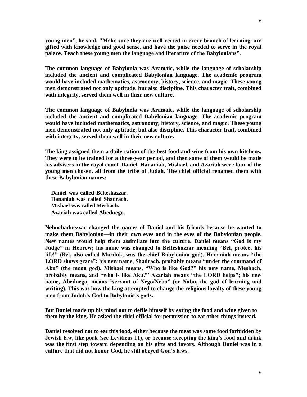**young men", he said. "Make sure they are well versed in every branch of learning, are gifted with knowledge and good sense, and have the poise needed to serve in the royal palace. Teach these young men the language and literature of the Babylonians".**

**The common language of Babylonia was Aramaic, while the language of scholarship included the ancient and complicated Babylonian language. The academic program would have included mathematics, astronomy, history, science, and magic. These young men demonstrated not only aptitude, but also discipline. This character trait, combined with integrity, served them well in their new culture.**

**The common language of Babylonia was Aramaic, while the language of scholarship included the ancient and complicated Babylonian language. The academic program would have included mathematics, astronomy, history, science, and magic. These young men demonstrated not only aptitude, but also discipline. This character trait, combined with integrity, served them well in their new culture.**

**The king assigned them a daily ration of the best food and wine from his own kitchens. They were to be trained for a three-year period, and then some of them would be made his advisers in the royal court. Daniel, Hananiah, Mishael, and Azariah were four of the young men chosen, all from the tribe of Judah. The chief official renamed them with these Babylonian names:**

**Daniel was called Belteshazzar. Hananiah was called Shadrach. Mishael was called Meshach. Azariah was called Abednego.**

**Nebuchadnezzar changed the names of Daniel and his friends because he wanted to make them Babylonian—in their own eyes and in the eyes of the Babylonian people. New names would help them assimilate into the culture. Daniel means "God is my Judge" in Hebrew; his name was changed to Belteshazzar meaning "Bel, protect his life!" (Bel, also called Marduk, was the chief Babylonian god). Hananiah means "the LORD shows grace"; his new name, Shadrach, probably means "under the command of Aku" (the moon god). Mishael means, "Who is like God?" his new name, Meshach, probably means, and "who is like Aku?" Azariah means "the LORD helps"; his new name, Abednego, means "servant of Nego/Nebo" (or Nabu, the god of learning and writing). This was how the king attempted to change the religious loyalty of these young men from Judah's God to Babylonia's gods.**

**But Daniel made up his mind not to defile himself by eating the food and wine given to them by the king. He asked the chief official for permission to eat other things instead.**

**Daniel resolved not to eat this food, either because the meat was some food forbidden by Jewish law, like pork (see Leviticus 11), or because accepting the king's food and drink was the first step toward depending on his gifts and favors. Although Daniel was in a culture that did not honor God, he still obeyed God's laws.**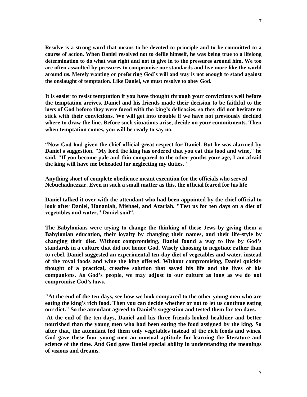**Resolve is a strong word that means to be devoted to principle and to be committed to a course of action. When Daniel resolved not to defile himself, he was being true to a lifelong determination to do what was right and not to give in to the pressures around him. We too are often assaulted by pressures to compromise our standards and live more like the world around us. Merely wanting or preferring God's will and way is not enough to stand against the onslaught of temptation. Like Daniel, we must resolve to obey God.**

**It is easier to resist temptation if you have thought through your convictions well before the temptation arrives. Daniel and his friends made their decision to be faithful to the laws of God before they were faced with the king's delicacies, so they did not hesitate to stick with their convictions. We will get into trouble if we have not previously decided where to draw the line. Before such situations arise, decide on your commitments. Then when temptation comes, you will be ready to say no.**

**"Now God had given the chief official great respect for Daniel. But he was alarmed by Daniel's suggestion. "My lord the king has ordered that you eat this food and wine," he said. "If you become pale and thin compared to the other youths your age, I am afraid the king will have me beheaded for neglecting my duties."**

**Anything short of complete obedience meant execution for the officials who served Nebuchadnezzar. Even in such a small matter as this, the official feared for his life**

**Daniel talked it over with the attendant who had been appointed by the chief official to look after Daniel, Hananiah, Mishael, and Azariah. "Test us for ten days on a diet of vegetables and water," Daniel said".**

**The Babylonians were trying to change the thinking of these Jews by giving them a Babylonian education, their loyalty by changing their names, and their life-style by changing their diet. Without compromising, Daniel found a way to live by God's standards in a culture that did not honor God. Wisely choosing to negotiate rather than to rebel, Daniel suggested an experimental ten-day diet of vegetables and water, instead of the royal foods and wine the king offered. Without compromising, Daniel quickly thought of a practical, creative solution that saved his life and the lives of his companions. As God's people, we may adjust to our culture as long as we do not compromise God's laws.**

**"At the end of the ten days, see how we look compared to the other young men who are eating the king's rich food. Then you can decide whether or not to let us continue eating our diet." So the attendant agreed to Daniel's suggestion and tested them for ten days.**

**At the end of the ten days, Daniel and his three friends looked healthier and better nourished than the young men who had been eating the food assigned by the king. So after that, the attendant fed them only vegetables instead of the rich foods and wines. God gave these four young men an unusual aptitude for learning the literature and science of the time. And God gave Daniel special ability in understanding the meanings of visions and dreams.**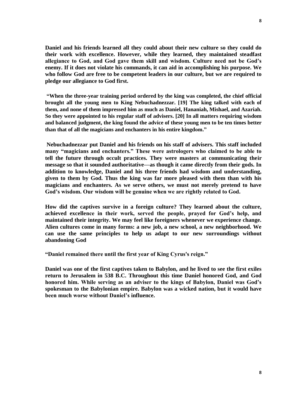**Daniel and his friends learned all they could about their new culture so they could do their work with excellence. However, while they learned, they maintained steadfast allegiance to God, and God gave them skill and wisdom. Culture need not be God's enemy. If it does not violate his commands, it can aid in accomplishing his purpose. We who follow God are free to be competent leaders in our culture, but we are required to pledge our allegiance to God first.**

**"When the three-year training period ordered by the king was completed, the chief official brought all the young men to King Nebuchadnezzar. [19] The king talked with each of them, and none of them impressed him as much as Daniel, Hananiah, Mishael, and Azariah. So they were appointed to his regular staff of advisers. [20] In all matters requiring wisdom and balanced judgment, the king found the advice of these young men to be ten times better than that of all the magicians and enchanters in his entire kingdom."**

**Nebuchadnezzar put Daniel and his friends on his staff of advisers. This staff included many "magicians and enchanters." These were astrologers who claimed to be able to tell the future through occult practices. They were masters at communicating their message so that it sounded authoritative—as though it came directly from their gods. In addition to knowledge, Daniel and his three friends had wisdom and understanding, given to them by God. Thus the king was far more pleased with them than with his magicians and enchanters. As we serve others, we must not merely pretend to have God's wisdom. Our wisdom will be genuine when we are rightly related to God.**

**How did the captives survive in a foreign culture? They learned about the culture, achieved excellence in their work, served the people, prayed for God's help, and maintained their integrity. We may feel like foreigners whenever we experience change. Alien cultures come in many forms: a new job, a new school, a new neighborhood. We can use the same principles to help us adapt to our new surroundings without abandoning God**

**"Daniel remained there until the first year of King Cyrus's reign."**

**Daniel was one of the first captives taken to Babylon, and he lived to see the first exiles return to Jerusalem in 538 B.C. Throughout this time Daniel honored God, and God honored him. While serving as an adviser to the kings of Babylon, Daniel was God's spokesman to the Babylonian empire. Babylon was a wicked nation, but it would have been much worse without Daniel's influence.**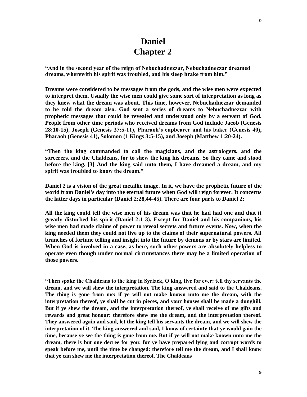## **Daniel Chapter 2**

**"And in the second year of the reign of Nebuchadnezzar, Nebuchadnezzar dreamed dreams, wherewith his spirit was troubled, and his sleep brake from him."**

**Dreams were considered to be messages from the gods, and the wise men were expected to interpret them. Usually the wise men could give some sort of interpretation as long as they knew what the dream was about. This time, however, Nebuchadnezzar demanded to be told the dream also. God sent a series of dreams to Nebuchadnezzar with prophetic messages that could be revealed and understood only by a servant of God. People from other time periods who received dreams from God include Jacob (Genesis 28:10-15), Joseph (Genesis 37:5-11), Pharaoh's cupbearer and his baker (Genesis 40), Pharaoh (Genesis 41), Solomon (1 Kings 3:5-15), and Joseph (Matthew 1:20-24).**

**"Then the king commanded to call the magicians, and the astrologers, and the sorcerers, and the Chaldeans, for to shew the king his dreams. So they came and stood before the king. [3] And the king said unto them, I have dreamed a dream, and my spirit was troubled to know the dream."**

**Daniel 2 is a vision of the great metallic image. In it, we have the prophetic future of the world from Daniel's day into the eternal future when God will reign forever. It concerns the latter days in particular (Daniel 2:28,44-45). There are four parts to Daniel 2:**

**All the king could tell the wise men of his dream was that he had had one and that it greatly disturbed his spirit (Daniel 2:1-3). Except for Daniel and his companions, his wise men had made claims of power to reveal secrets and future events. Now, when the king needed them they could not live up to the claims of their supernatural powers. All branches of fortune telling and insight into the future by demons or by stars are limited. When God is involved in a case, as here, such other powers are absolutely helpless to operate even though under normal circumstances there may be a limited operation of those powers.**

**"Then spake the Chaldeans to the king in Syriack, O king, live for ever: tell thy servants the dream, and we will shew the interpretation. The king answered and said to the Chaldeans, The thing is gone from me: if ye will not make known unto me the dream, with the interpretation thereof, ye shall be cut in pieces, and your houses shall be made a dunghill. But if ye shew the dream, and the interpretation thereof, ye shall receive of me gifts and rewards and great honour: therefore shew me the dream, and the interpretation thereof. They answered again and said, let the king tell his servants the dream, and we will shew the interpretation of it. The king answered and said, I know of certainty that ye would gain the time, because ye see the thing is gone from me. But if ye will not make known unto me the dream, there is but one decree for you: for ye have prepared lying and corrupt words to speak before me, until the time be changed: therefore tell me the dream, and I shall know that ye can shew me the interpretation thereof. The Chaldeans**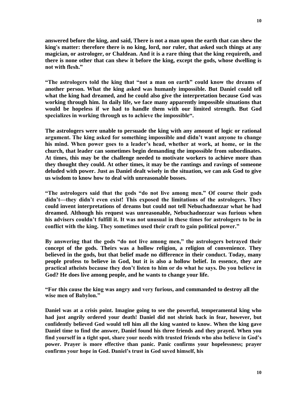**answered before the king, and said, There is not a man upon the earth that can shew the king's matter: therefore there is no king, lord, nor ruler, that asked such things at any magician, or astrologer, or Chaldean. And it is a rare thing that the king requireth, and there is none other that can shew it before the king, except the gods, whose dwelling is not with flesh."**

**"The astrologers told the king that "not a man on earth" could know the dreams of another person. What the king asked was humanly impossible. But Daniel could tell what the king had dreamed, and he could also give the interpretation because God was working through him. In daily life, we face many apparently impossible situations that would be hopeless if we had to handle them with our limited strength. But God specializes in working through us to achieve the impossible".**

**The astrologers were unable to persuade the king with any amount of logic or rational argument. The king asked for something impossible and didn't want anyone to change his mind. When power goes to a leader's head, whether at work, at home, or in the church, that leader can sometimes begin demanding the impossible from subordinates. At times, this may be the challenge needed to motivate workers to achieve more than they thought they could. At other times, it may be the rantings and ravings of someone deluded with power. Just as Daniel dealt wisely in the situation, we can ask God to give us wisdom to know how to deal with unreasonable bosses.**

**"The astrologers said that the gods "do not live among men." Of course their gods didn't—they didn't even exist! This exposed the limitations of the astrologers. They could invent interpretations of dreams but could not tell Nebuchadnezzar what he had dreamed. Although his request was unreasonable, Nebuchadnezzar was furious when his advisers couldn't fulfill it. It was not unusual in these times for astrologers to be in conflict with the king. They sometimes used their craft to gain political power."**

**By answering that the gods "do not live among men," the astrologers betrayed their concept of the gods. Theirs was a hollow religion, a religion of convenience. They believed in the gods, but that belief made no difference in their conduct. Today, many people profess to believe in God, but it is also a hollow belief. In essence, they are practical atheists because they don't listen to him or do what he says. Do you believe in God? He does live among people, and he wants to change your life.**

**"For this cause the king was angry and very furious, and commanded to destroy all the wise men of Babylon."**

**Daniel was at a crisis point. Imagine going to see the powerful, temperamental king who had just angrily ordered your death! Daniel did not shrink back in fear, however, but confidently believed God would tell him all the king wanted to know. When the king gave Daniel time to find the answer, Daniel found his three friends and they prayed. When you find yourself in a tight spot, share your needs with trusted friends who also believe in God's power. Prayer is more effective than panic. Panic confirms your hopelessness; prayer confirms your hope in God. Daniel's trust in God saved himself, his**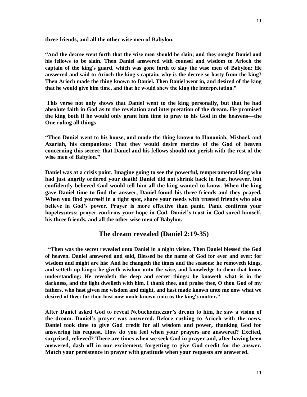**three friends, and all the other wise men of Babylon.**

**"And the decree went forth that the wise men should be slain; and they sought Daniel and his fellows to be slain. Then Daniel answered with counsel and wisdom to Arioch the captain of the king's guard, which was gone forth to slay the wise men of Babylon: He answered and said to Arioch the king's captain, why is the decree so hasty from the king? Then Arioch made the thing known to Daniel. Then Daniel went in, and desired of the king that he would give him time, and that he would shew the king the interpretation."**

**This verse not only shows that Daniel went to the king personally, but that he had absolute faith in God as to the revelation and interpretation of the dream. He promised the king both if he would only grant him time to pray to his God in the heavens—the One ruling all things**

**"Then Daniel went to his house, and made the thing known to Hananiah, Mishael, and Azariah, his companions: That they would desire mercies of the God of heaven concerning this secret; that Daniel and his fellows should not perish with the rest of the wise men of Babylon."**

**Daniel was at a crisis point. Imagine going to see the powerful, temperamental king who had just angrily ordered your death! Daniel did not shrink back in fear, however, but confidently believed God would tell him all the king wanted to know. When the king gave Daniel time to find the answer, Daniel found his three friends and they prayed. When you find yourself in a tight spot, share your needs with trusted friends who also believe in God's power. Prayer is more effective than panic. Panic confirms your hopelessness; prayer confirms your hope in God. Daniel's trust in God saved himself, his three friends, and all the other wise men of Babylon.**

#### **The dream revealed (Daniel 2:19-35)**

**"Then was the secret revealed unto Daniel in a night vision. Then Daniel blessed the God of heaven. Daniel answered and said, Blessed be the name of God for ever and ever: for wisdom and might are his: And he changeth the times and the seasons: he removeth kings, and setteth up kings: he giveth wisdom unto the wise, and knowledge to them that know understanding: He revealeth the deep and secret things: he knoweth what is in the darkness, and the light dwelleth with him. I thank thee, and praise thee, O thou God of my fathers, who hast given me wisdom and might, and hast made known unto me now what we desired of thee: for thou hast now made known unto us the king's matter."**

**After Daniel asked God to reveal Nebuchadnezzar's dream to him, he saw a vision of the dream. Daniel's prayer was answered. Before rushing to Arioch with the news, Daniel took time to give God credit for all wisdom and power, thanking God for answering his request. How do you feel when your prayers are answered? Excited, surprised, relieved? There are times when we seek God in prayer and, after having been answered, dash off in our excitement, forgetting to give God credit for the answer. Match your persistence in prayer with gratitude when your requests are answered.**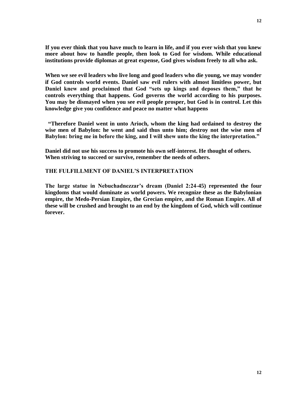**If you ever think that you have much to learn in life, and if you ever wish that you knew more about how to handle people, then look to God for wisdom. While educational institutions provide diplomas at great expense, God gives wisdom freely to all who ask.**

**When we see evil leaders who live long and good leaders who die young, we may wonder if God controls world events. Daniel saw evil rulers with almost limitless power, but Daniel knew and proclaimed that God "sets up kings and deposes them," that he controls everything that happens. God governs the world according to his purposes. You may be dismayed when you see evil people prosper, but God is in control. Let this knowledge give you confidence and peace no matter what happens**

**"Therefore Daniel went in unto Arioch, whom the king had ordained to destroy the wise men of Babylon: he went and said thus unto him; destroy not the wise men of Babylon: bring me in before the king, and I will shew unto the king the interpretation."**

**Daniel did not use his success to promote his own self-interest. He thought of others. When striving to succeed or survive, remember the needs of others.**

#### **THE FULFILLMENT OF DANIEL'S INTERPRETATION**

**The large statue in Nebuchadnezzar's dream (Daniel 2:24-45) represented the four kingdoms that would dominate as world powers. We recognize these as the Babylonian empire, the Medo-Persian Empire, the Grecian empire, and the Roman Empire. All of these will be crushed and brought to an end by the kingdom of God, which will continue forever.**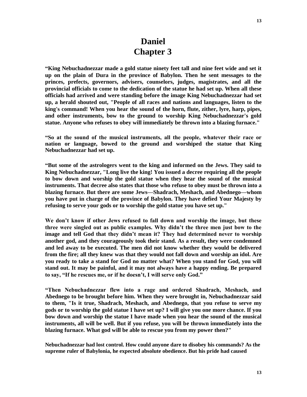**13**

## **Daniel Chapter 3**

**"King Nebuchadnezzar made a gold statue ninety feet tall and nine feet wide and set it up on the plain of Dura in the province of Babylon. Then he sent messages to the princes, prefects, governors, advisers, counselors, judges, magistrates, and all the provincial officials to come to the dedication of the statue he had set up. When all these officials had arrived and were standing before the image King Nebuchadnezzar had set up, a herald shouted out, "People of all races and nations and languages, listen to the king's command! When you hear the sound of the horn, flute, zither, lyre, harp, pipes, and other instruments, bow to the ground to worship King Nebuchadnezzar's gold statue. Anyone who refuses to obey will immediately be thrown into a blazing furnace."**

**"So at the sound of the musical instruments, all the people, whatever their race or nation or language, bowed to the ground and worshiped the statue that King Nebuchadnezzar had set up.**

**"But some of the astrologers went to the king and informed on the Jews. They said to King Nebuchadnezzar, "Long live the king! You issued a decree requiring all the people to bow down and worship the gold statue when they hear the sound of the musical instruments. That decree also states that those who refuse to obey must be thrown into a blazing furnace. But there are some Jews—Shadrach, Meshach, and Abednego—whom you have put in charge of the province of Babylon. They have defied Your Majesty by refusing to serve your gods or to worship the gold statue you have set up."**

**We don't know if other Jews refused to fall down and worship the image, but these three were singled out as public examples. Why didn't the three men just bow to the image and tell God that they didn't mean it? They had determined never to worship another god, and they courageously took their stand. As a result, they were condemned and led away to be executed. The men did not know whether they would be delivered from the fire; all they knew was that they would not fall down and worship an idol. Are you ready to take a stand for God no matter what? When you stand for God, you will stand out. It may be painful, and it may not always have a happy ending. Be prepared to say, "If he rescues me, or if he doesn't, I will serve only God."**

**"Then Nebuchadnezzar flew into a rage and ordered Shadrach, Meshach, and Abednego to be brought before him. When they were brought in, Nebuchadnezzar said to them, "Is it true, Shadrach, Meshach, and Abednego, that you refuse to serve my gods or to worship the gold statue I have set up? I will give you one more chance. If you bow down and worship the statue I have made when you hear the sound of the musical instruments, all will be well. But if you refuse, you will be thrown immediately into the blazing furnace. What god will be able to rescue you from my power then?"**

**Nebuchadnezzar had lost control. How could anyone dare to disobey his commands? As the supreme ruler of Babylonia, he expected absolute obedience. But his pride had caused**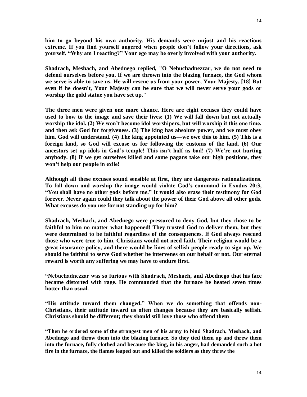**him to go beyond his own authority. His demands were unjust and his reactions extreme. If you find yourself angered when people don't follow your directions, ask yourself, "Why am I reacting?" Your ego may be overly involved with your authority.**

**Shadrach, Meshach, and Abednego replied, "O Nebuchadnezzar, we do not need to defend ourselves before you. If we are thrown into the blazing furnace, the God whom we serve is able to save us. He will rescue us from your power, Your Majesty. [18] But even if he doesn't, Your Majesty can be sure that we will never serve your gods or worship the gold statue you have set up."**

**The three men were given one more chance. Here are eight excuses they could have used to bow to the image and save their lives: (1) We will fall down but not actually worship the idol. (2) We won't become idol worshipers, but will worship it this one time, and then ask God for forgiveness. (3) The king has absolute power, and we must obey him. God will understand. (4) The king appointed us—we owe this to him. (5) This is a foreign land, so God will excuse us for following the customs of the land. (6) Our ancestors set up idols in God's temple! This isn't half as bad! (7) We're not hurting anybody. (8) If we get ourselves killed and some pagans take our high positions, they won't help our people in exile!**

**Although all these excuses sound sensible at first, they are dangerous rationalizations. To fall down and worship the image would violate God's command in Exodus 20:3, "You shall have no other gods before me." It would also erase their testimony for God forever. Never again could they talk about the power of their God above all other gods. What excuses do you use for not standing up for him?**

**Shadrach, Meshach, and Abednego were pressured to deny God, but they chose to be faithful to him no matter what happened! They trusted God to deliver them, but they were determined to be faithful regardless of the consequences. If God always rescued those who were true to him, Christians would not need faith. Their religion would be a great insurance policy, and there would be lines of selfish people ready to sign up. We should be faithful to serve God whether he intervenes on our behalf or not. Our eternal reward is worth any suffering we may have to endure first.**

**"Nebuchadnezzar was so furious with Shadrach, Meshach, and Abednego that his face became distorted with rage. He commanded that the furnace be heated seven times hotter than usual.**

**"His attitude toward them changed." When we do something that offends non-Christians, their attitude toward us often changes because they are basically selfish. Christians should be different; they should still love those who offend them**

**"Then he ordered some of the strongest men of his army to bind Shadrach, Meshach, and Abednego and throw them into the blazing furnace. So they tied them up and threw them into the furnace, fully clothed and because the king, in his anger, had demanded such a hot fire in the furnace, the flames leaped out and killed the soldiers as they threw the**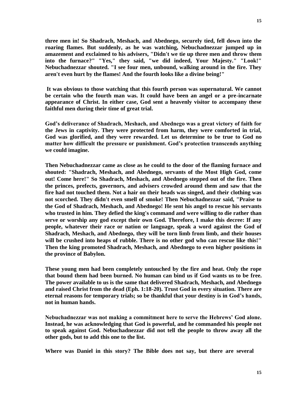**three men in! So Shadrach, Meshach, and Abednego, securely tied, fell down into the roaring flames. But suddenly, as he was watching, Nebuchadnezzar jumped up in amazement and exclaimed to his advisers, "Didn't we tie up three men and throw them into the furnace?" "Yes," they said, "we did indeed, Your Majesty." "Look!" Nebuchadnezzar shouted. "I see four men, unbound, walking around in the fire. They aren't even hurt by the flames! And the fourth looks like a divine being!"**

**It was obvious to those watching that this fourth person was supernatural. We cannot be certain who the fourth man was. It could have been an angel or a pre-incarnate appearance of Christ. In either case, God sent a heavenly visitor to accompany these faithful men during their time of great trial.**

**God's deliverance of Shadrach, Meshach, and Abednego was a great victory of faith for the Jews in captivity. They were protected from harm, they were comforted in trial, God was glorified, and they were rewarded. Let us determine to be true to God no matter how difficult the pressure or punishment. God's protection transcends anything we could imagine.**

**Then Nebuchadnezzar came as close as he could to the door of the flaming furnace and shouted: "Shadrach, Meshach, and Abednego, servants of the Most High God, come out! Come here!" So Shadrach, Meshach, and Abednego stepped out of the fire. Then the princes, prefects, governors, and advisers crowded around them and saw that the fire had not touched them. Not a hair on their heads was singed, and their clothing was not scorched. They didn't even smell of smoke! Then Nebuchadnezzar said, "Praise to the God of Shadrach, Meshach, and Abednego! He sent his angel to rescue his servants who trusted in him. They defied the king's command and were willing to die rather than serve or worship any god except their own God. Therefore, I make this decree: If any people, whatever their race or nation or language, speak a word against the God of Shadrach, Meshach, and Abednego, they will be torn limb from limb, and their houses will be crushed into heaps of rubble. There is no other god who can rescue like this!" Then the king promoted Shadrach, Meshach, and Abednego to even higher positions in the province of Babylon.**

**These young men had been completely untouched by the fire and heat. Only the rope that bound them had been burned. No human can bind us if God wants us to be free. The power available to us is the same that delivered Shadrach, Meshach, and Abednego and raised Christ from the dead (Eph. 1:18-20). Trust God in every situation. There are eternal reasons for temporary trials; so be thankful that your destiny is in God's hands, not in human hands.**

**Nebuchadnezzar was not making a commitment here to serve the Hebrews' God alone. Instead, he was acknowledging that God is powerful, and he commanded his people not to speak against God. Nebuchadnezzar did not tell the people to throw away all the other gods, but to add this one to the list.**

**Where was Daniel in this story? The Bible does not say, but there are several**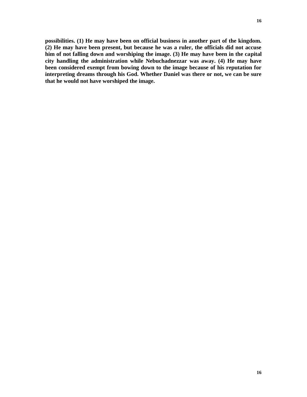**possibilities. (1) He may have been on official business in another part of the kingdom. (2) He may have been present, but because he was a ruler, the officials did not accuse him of not falling down and worshiping the image. (3) He may have been in the capital city handling the administration while Nebuchadnezzar was away. (4) He may have been considered exempt from bowing down to the image because of his reputation for interpreting dreams through his God. Whether Daniel was there or not, we can be sure that he would not have worshiped the image.**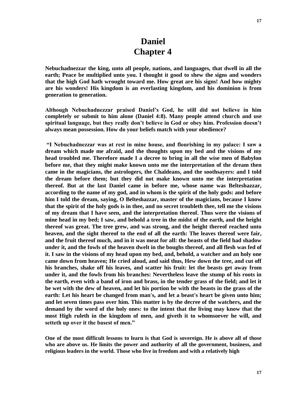## **Daniel Chapter 4**

**Nebuchadnezzar the king, unto all people, nations, and languages, that dwell in all the earth; Peace be multiplied unto you. I thought it good to shew the signs and wonders that the high God hath wrought toward me. How great are his signs! And how mighty are his wonders! His kingdom is an everlasting kingdom, and his dominion is from generation to generation.**

**Although Nebuchadnezzar praised Daniel's God, he still did not believe in him completely or submit to him alone (Daniel 4:8). Many people attend church and use spiritual language, but they really don't believe in God or obey him. Profession doesn't always mean possession. How do your beliefs match with your obedience?**

**"I Nebuchadnezzar was at rest in mine house, and flourishing in my palace: I saw a dream which made me afraid, and the thoughts upon my bed and the visions of my head troubled me. Therefore made I a decree to bring in all the wise men of Babylon before me, that they might make known unto me the interpretation of the dream then came in the magicians, the astrologers, the Chaldeans, and the soothsayers: and I told the dream before them; but they did not make known unto me the interpretation thereof. But at the last Daniel came in before me, whose name was Belteshazzar, according to the name of my god, and in whom is the spirit of the holy gods: and before him I told the dream, saying, O Belteshazzar, master of the magicians, because I know that the spirit of the holy gods is in thee, and no secret troubleth thee, tell me the visions of my dream that I have seen, and the interpretation thereof. Thus were the visions of mine head in my bed; I saw, and behold a tree in the midst of the earth, and the height thereof was great. The tree grew, and was strong, and the height thereof reached unto heaven, and the sight thereof to the end of all the earth: The leaves thereof were fair, and the fruit thereof much, and in it was meat for all: the beasts of the field had shadow under it, and the fowls of the heaven dwelt in the boughs thereof, and all flesh was fed of it. I saw in the visions of my head upon my bed, and, behold, a watcher and an holy one came down from heaven; He cried aloud, and said thus, Hew down the tree, and cut off his branches, shake off his leaves, and scatter his fruit: let the beasts get away from under it, and the fowls from his branches: Nevertheless leave the stump of his roots in the earth, even with a band of iron and brass, in the tender grass of the field; and let it be wet with the dew of heaven, and let his portion be with the beasts in the grass of the earth: Let his heart be changed from man's, and let a beast's heart be given unto him; and let seven times pass over him. This matter is by the decree of the watchers, and the demand by the word of the holy ones: to the intent that the living may know that the most High ruleth in the kingdom of men, and giveth it to whomsoever he will, and setteth up over it the basest of men."**

**One of the most difficult lessons to learn is that God is sovereign. He is above all of those who are above us. He limits the power and authority of all the government, business, and religious leaders in the world. Those who live in freedom and with a relatively high**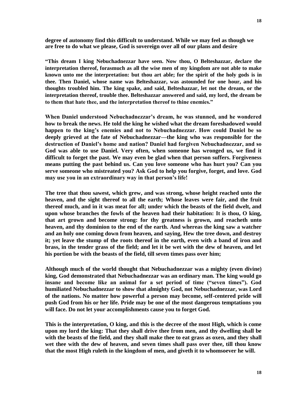**degree of autonomy find this difficult to understand. While we may feel as though we are free to do what we please, God is sovereign over all of our plans and desire**

**"This dream I king Nebuchadnezzar have seen. Now thou, O Belteshazzar, declare the interpretation thereof, forasmuch as all the wise men of my kingdom are not able to make known unto me the interpretation: but thou art able; for the spirit of the holy gods is in thee. Then Daniel, whose name was Belteshazzar, was astounded for one hour, and his thoughts troubled him. The king spake, and said, Belteshazzar, let not the dream, or the interpretation thereof, trouble thee. Belteshazzar answered and said, my lord, the dream be to them that hate thee, and the interpretation thereof to thine enemies."**

**When Daniel understood Nebuchadnezzar's dream, he was stunned, and he wondered how to break the news. He told the king he wished what the dream foreshadowed would happen to the king's enemies and not to Nebuchadnezzar. How could Daniel be so deeply grieved at the fate of Nebuchadnezzar—the king who was responsible for the destruction of Daniel's home and nation? Daniel had forgiven Nebuchadnezzar, and so God was able to use Daniel. Very often, when someone has wronged us, we find it difficult to forget the past. We may even be glad when that person suffers. Forgiveness means putting the past behind us. Can you love someone who has hurt you? Can you serve someone who mistreated you? Ask God to help you forgive, forget, and love. God may use you in an extraordinary way in that person's life!**

**The tree that thou sawest, which grew, and was strong, whose height reached unto the heaven, and the sight thereof to all the earth; Whose leaves were fair, and the fruit thereof much, and in it was meat for all; under which the beasts of the field dwelt, and upon whose branches the fowls of the heaven had their habitation: It is thou, O king, that art grown and become strong: for thy greatness is grown, and reacheth unto heaven, and thy dominion to the end of the earth. And whereas the king saw a watcher and an holy one coming down from heaven, and saying, Hew the tree down, and destroy it; yet leave the stump of the roots thereof in the earth, even with a band of iron and brass, in the tender grass of the field; and let it be wet with the dew of heaven, and let his portion be with the beasts of the field, till seven times pass over him;**

**Although much of the world thought that Nebuchadnezzar was a mighty (even divine) king, God demonstrated that Nebuchadnezzar was an ordinary man. The king would go insane and become like an animal for a set period of time ("seven times"). God humiliated Nebuchadnezzar to show that almighty God, not Nebuchadnezzar, was Lord of the nations. No matter how powerful a person may become, self-centered pride will push God from his or her life. Pride may be one of the most dangerous temptations you will face. Do not let your accomplishments cause you to forget God.**

**This is the interpretation, O king, and this is the decree of the most High, which is come upon my lord the king: That they shall drive thee from men, and thy dwelling shall be with the beasts of the field, and they shall make thee to eat grass as oxen, and they shall wet thee with the dew of heaven, and seven times shall pass over thee, till thou know that the most High ruleth in the kingdom of men, and giveth it to whomsoever he will.**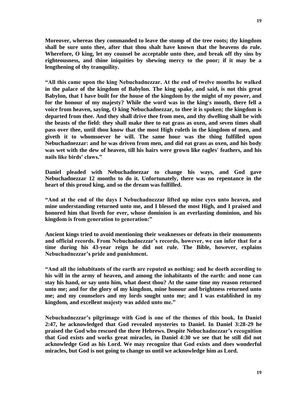**19**

**Moreover, whereas they commanded to leave the stump of the tree roots; thy kingdom shall be sure unto thee, after that thou shalt have known that the heavens do rule. Wherefore, O king, let my counsel be acceptable unto thee, and break off thy sins by righteousness, and thine iniquities by shewing mercy to the poor; if it may be a lengthening of thy tranquility.**

**"All this came upon the king Nebuchadnezzar. At the end of twelve months he walked in the palace of the kingdom of Babylon. The king spake, and said, is not this great Babylon, that I have built for the house of the kingdom by the might of my power, and for the honour of my majesty? While the word was in the king's mouth, there fell a voice from heaven, saying, O king Nebuchadnezzar, to thee it is spoken; the kingdom is departed from thee. And they shall drive thee from men, and thy dwelling shall be with the beasts of the field: they shall make thee to eat grass as oxen, and seven times shall pass over thee, until thou know that the most High ruleth in the kingdom of men, and giveth it to whomsoever he will. The same hour was the thing fulfilled upon Nebuchadnezzar: and he was driven from men, and did eat grass as oxen, and his body was wet with the dew of heaven, till his hairs were grown like eagles' feathers, and his nails like birds' claws."**

**Daniel pleaded with Nebuchadnezzar to change his ways, and God gave Nebuchadnezzar 12 months to do it. Unfortunately, there was no repentance in the heart of this proud king, and so the dream was fulfilled.**

**"And at the end of the days I Nebuchadnezzar lifted up mine eyes unto heaven, and mine understanding returned unto me, and I blessed the most High, and I praised and honored him that liveth for ever, whose dominion is an everlasting dominion, and his kingdom is from generation to generation:"**

**Ancient kings tried to avoid mentioning their weaknesses or defeats in their monuments and official records. From Nebuchadnezzar's records, however, we can infer that for a time during his 43-year reign he did not rule. The Bible, however, explains Nebuchadnezzar's pride and punishment.**

**"And all the inhabitants of the earth are reputed as nothing: and he doeth according to his will in the army of heaven, and among the inhabitants of the earth: and none can stay his hand, or say unto him, what doest thou? At the same time my reason returned unto me; and for the glory of my kingdom, mine honour and brightness returned unto me; and my counselors and my lords sought unto me; and I was established in my kingdom, and excellent majesty was added unto me."**

**Nebuchadnezzar's pilgrimage with God is one of the themes of this book. In Daniel 2:47, he acknowledged that God revealed mysteries to Daniel. In Daniel 3:28-29 he praised the God who rescued the three Hebrews. Despite Nebuchadnezzar's recognition that God exists and works great miracles, in Daniel 4:30 we see that he still did not acknowledge God as his Lord. We may recognize that God exists and does wonderful miracles, but God is not going to change us until we acknowledge him as Lord.**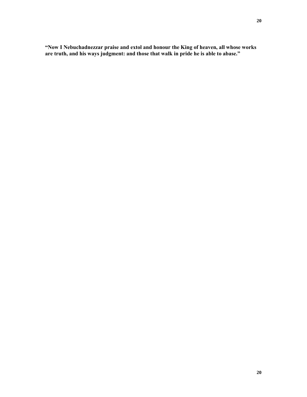**"Now I Nebuchadnezzar praise and extol and honour the King of heaven, all whose works are truth, and his ways judgment: and those that walk in pride he is able to abase."**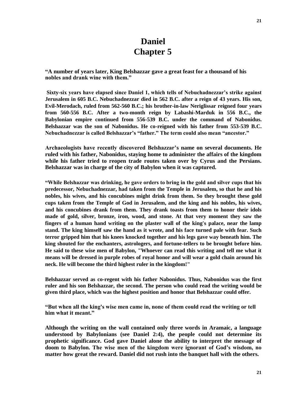## **Daniel Chapter 5**

**"A number of years later, King Belshazzar gave a great feast for a thousand of his nobles and drank wine with them."**

**Sixty-six years have elapsed since Daniel 1, which tells of Nebuchadnezzar's strike against Jerusalem in 605 B.C. Nebuchadnezzar died in 562 B.C. after a reign of 43 years. His son, Evil-Merodach, ruled from 562-560 B.C.; his brother-in-law Neriglissar reigned four years from 560-556 B.C. After a two-month reign by Labashi-Marduk in 556 B.C., the Babylonian empire continued from 556-539 B.C. under the command of Nabonidus. Belshazzar was the son of Nabonidus. He co-reigned with his father from 553-539 B.C. Nebuchadnezzar is called Belshazzar's "father." The term could also mean "ancestor."**

**Archaeologists have recently discovered Belshazzar's name on several documents. He ruled with his father, Nabonidus, staying home to administer the affairs of the kingdom while his father tried to reopen trade routes taken over by Cyrus and the Persians. Belshazzar was in charge of the city of Babylon when it was captured.**

**"While Belshazzar was drinking, he gave orders to bring in the gold and silver cups that his predecessor, Nebuchadnezzar, had taken from the Temple in Jerusalem, so that he and his nobles, his wives, and his concubines might drink from them. So they brought these gold cups taken from the Temple of God in Jerusalem, and the king and his nobles, his wives, and his concubines drank from them. They drank toasts from them to honor their idols made of gold, silver, bronze, iron, wood, and stone. At that very moment they saw the fingers of a human hand writing on the plaster wall of the king's palace, near the lamp stand. The king himself saw the hand as it wrote, and his face turned pale with fear. Such terror gripped him that his knees knocked together and his legs gave way beneath him. The king shouted for the enchanters, astrologers, and fortune-tellers to be brought before him. He said to these wise men of Babylon, "Whoever can read this writing and tell me what it means will be dressed in purple robes of royal honor and will wear a gold chain around his neck. He will become the third highest ruler in the kingdom!"**

**Belshazzar served as co-regent with his father Nabonidus. Thus, Nabonidus was the first ruler and his son Belshazzar, the second. The person who could read the writing would be given third place, which was the highest position and honor that Belshazzar could offer.**

**"But when all the king's wise men came in, none of them could read the writing or tell him what it meant."**

**Although the writing on the wall contained only three words in Aramaic, a language understood by Babylonians (see Daniel 2:4), the people could not determine its prophetic significance. God gave Daniel alone the ability to interpret the message of doom to Babylon. The wise men of the kingdom were ignorant of God's wisdom, no matter how great the reward. Daniel did not rush into the banquet hall with the others.**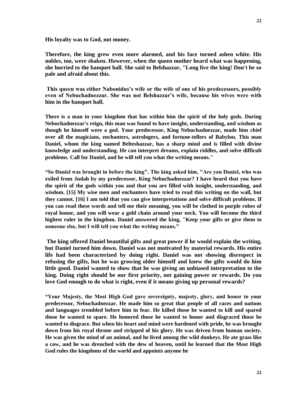**22**

**His loyalty was to God, not money.**

**Therefore, the king grew even more alarmed, and his face turned ashen white. His nobles, too, were shaken. However, when the queen mother heard what was happening, she hurried to the banquet hall. She said to Belshazzar, "Long live the king! Don't be so pale and afraid about this.**

**This queen was either Nabonidus's wife or the wife of one of his predecessors, possibly even of Nebuchadnezzar. She was not Belshazzar's wife, because his wives were with him in the banquet hall.**

**There is a man in your kingdom that has within him the spirit of the holy gods. During Nebuchadnezzar's reign, this man was found to have insight, understanding, and wisdom as though he himself were a god. Your predecessor, King Nebuchadnezzar, made him chief over all the magicians, enchanters, astrologers, and fortune-tellers of Babylon. This man Daniel, whom the king named Belteshazzar, has a sharp mind and is filled with divine knowledge and understanding. He can interpret dreams, explain riddles, and solve difficult problems. Call for Daniel, and he will tell you what the writing means."**

**"So Daniel was brought in before the king". The king asked him, "Are you Daniel, who was exiled from Judah by my predecessor, King Nebuchadnezzar? I have heard that you have the spirit of the gods within you and that you are filled with insight, understanding, and wisdom. [15] My wise men and enchanters have tried to read this writing on the wall, but they cannot. [16] I am told that you can give interpretations and solve difficult problems. If you can read these words and tell me their meaning, you will be clothed in purple robes of royal honor, and you will wear a gold chain around your neck. You will become the third highest ruler in the kingdom. Daniel answered the king, "Keep your gifts or give them to someone else, but I will tell you what the writing means."**

**The king offered Daniel beautiful gifts and great power if he would explain the writing, but Daniel turned him down. Daniel was not motivated by material rewards. His entire life had been characterized by doing right. Daniel was not showing disrespect in refusing the gifts, but he was growing older himself and knew the gifts would do him little good. Daniel wanted to show that he was giving an unbiased interpretation to the king. Doing right should be our first priority, not gaining power or rewards. Do you love God enough to do what is right, even if it means giving up personal rewards?**

**"Your Majesty, the Most High God gave sovereignty, majesty, glory, and honor to your predecessor, Nebuchadnezzar. He made him so great that people of all races and nations and languages trembled before him in fear. He killed those he wanted to kill and spared those he wanted to spare. He honored those he wanted to honor and disgraced those he wanted to disgrace. But when his heart and mind were hardened with pride, he was brought down from his royal throne and stripped of his glory. He was driven from human society. He was given the mind of an animal, and he lived among the wild donkeys. He ate grass like a cow, and he was drenched with the dew of heaven, until he learned that the Most High God rules the kingdoms of the world and appoints anyone he**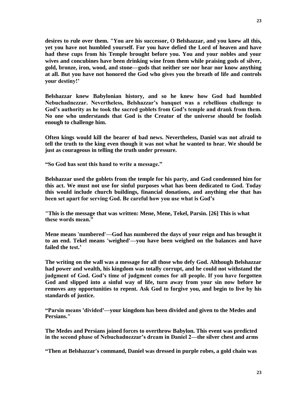**desires to rule over them. "You are his successor, O Belshazzar, and you knew all this, yet you have not humbled yourself. For you have defied the Lord of heaven and have had these cups from his Temple brought before you. You and your nobles and your wives and concubines have been drinking wine from them while praising gods of silver, gold, bronze, iron, wood, and stone—gods that neither see nor hear nor know anything at all. But you have not honored the God who gives you the breath of life and controls your destiny!'**

**Belshazzar knew Babylonian history, and so he knew how God had humbled Nebuchadnezzar. Nevertheless, Belshazzar's banquet was a rebellious challenge to God's authority as he took the sacred goblets from God's temple and drank from them. No one who understands that God is the Creator of the universe should be foolish enough to challenge him.**

**Often kings would kill the bearer of bad news. Nevertheless, Daniel was not afraid to tell the truth to the king even though it was not what he wanted to hear. We should be just as courageous in telling the truth under pressure.**

**"So God has sent this hand to write a message."**

**Belshazzar used the goblets from the temple for his party, and God condemned him for this act. We must not use for sinful purposes what has been dedicated to God. Today this would include church buildings, financial donations, and anything else that has been set apart for serving God. Be careful how you use what is God's**

**"This is the message that was written: Mene, Mene, Tekel, Parsin. [26] This is what these words mean."**

**Mene means 'numbered'—God has numbered the days of your reign and has brought it to an end. Tekel means 'weighed'—you have been weighed on the balances and have failed the test.'**

**The writing on the wall was a message for all those who defy God. Although Belshazzar had power and wealth, his kingdom was totally corrupt, and he could not withstand the judgment of God. God's time of judgment comes for all people. If you have forgotten God and slipped into a sinful way of life, turn away from your sin now before he removes any opportunities to repent. Ask God to forgive you, and begin to live by his standards of justice.**

**"Parsin means 'divided'—your kingdom has been divided and given to the Medes and Persians."**

**The Medes and Persians joined forces to overthrow Babylon. This event was predicted in the second phase of Nebuchadnezzar's dream in Daniel 2—the silver chest and arms**

**"Then at Belshazzar's command, Daniel was dressed in purple robes, a gold chain was**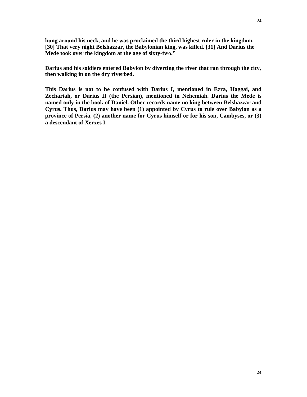**hung around his neck, and he was proclaimed the third highest ruler in the kingdom. [30] That very night Belshazzar, the Babylonian king, was killed. [31] And Darius the Mede took over the kingdom at the age of sixty-two."**

**Darius and his soldiers entered Babylon by diverting the river that ran through the city, then walking in on the dry riverbed.**

**This Darius is not to be confused with Darius I, mentioned in Ezra, Haggai, and Zechariah, or Darius II (the Persian), mentioned in Nehemiah. Darius the Mede is named only in the book of Daniel. Other records name no king between Belshazzar and Cyrus. Thus, Darius may have been (1) appointed by Cyrus to rule over Babylon as a province of Persia, (2) another name for Cyrus himself or for his son, Cambyses, or (3) a descendant of Xerxes I.**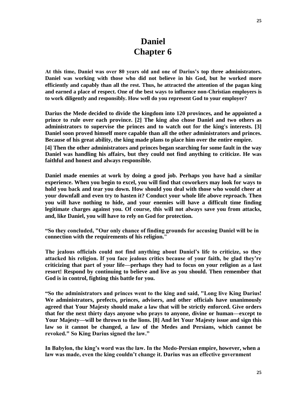#### **Daniel Chapter 6**

**At this time, Daniel was over 80 years old and one of Darius's top three administrators. Daniel was working with those who did not believe in his God, but he worked more efficiently and capably than all the rest. Thus, he attracted the attention of the pagan king and earned a place of respect. One of the best ways to influence non-Christian employers is to work diligently and responsibly. How well do you represent God to your employer?**

**Darius the Mede decided to divide the kingdom into 120 provinces, and he appointed a prince to rule over each province. [2] The king also chose Daniel and two others as administrators to supervise the princes and to watch out for the king's interests. [3] Daniel soon proved himself more capable than all the other administrators and princes. Because of his great ability, the king made plans to place him over the entire empire.**

**[4] Then the other administrators and princes began searching for some fault in the way Daniel was handling his affairs, but they could not find anything to criticize. He was faithful and honest and always responsible.**

**Daniel made enemies at work by doing a good job. Perhaps you have had a similar experience. When you begin to excel, you will find that coworkers may look for ways to hold you back and tear you down. How should you deal with those who would cheer at your downfall and even try to hasten it? Conduct your whole life above reproach. Then you will have nothing to hide, and your enemies will have a difficult time finding legitimate charges against you. Of course, this will not always save you from attacks, and, like Daniel, you will have to rely on God for protection.**

**"So they concluded, "Our only chance of finding grounds for accusing Daniel will be in connection with the requirements of his religion."**

**The jealous officials could not find anything about Daniel's life to criticize, so they attacked his religion. If you face jealous critics because of your faith, be glad they're criticizing that part of your life—perhaps they had to focus on your religion as a last resort! Respond by continuing to believe and live as you should. Then remember that God is in control, fighting this battle for you.**

**"So the administrators and princes went to the king and said, "Long live King Darius! We administrators, prefects, princes, advisers, and other officials have unanimously agreed that Your Majesty should make a law that will be strictly enforced. Give orders that for the next thirty days anyone who prays to anyone, divine or human—except to Your Majesty—will be thrown to the lions. [8] And let Your Majesty issue and sign this law so it cannot be changed, a law of the Medes and Persians, which cannot be revoked." So King Darius signed the law."**

**In Babylon, the king's word was the law. In the Medo-Persian empire, however, when a law was made, even the king couldn't change it. Darius was an effective government**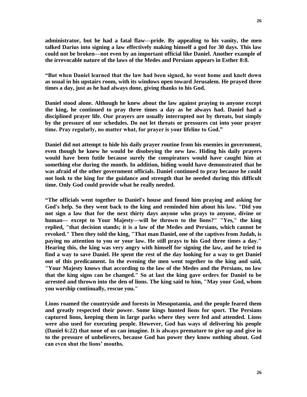**administrator, but he had a fatal flaw—pride. By appealing to his vanity, the men talked Darius into signing a law effectively making himself a god for 30 days. This law could not be broken—not even by an important official like Daniel. Another example of the irrevocable nature of the laws of the Medes and Persians appears in Esther 8:8.**

**"But when Daniel learned that the law had been signed, he went home and knelt down as usual in his upstairs room, with its windows open toward Jerusalem. He prayed three times a day, just as he had always done, giving thanks to his God.**

**Daniel stood alone. Although he knew about the law against praying to anyone except the king, he continued to pray three times a day as he always had. Daniel had a disciplined prayer life. Our prayers are usually interrupted not by threats, but simply by the pressure of our schedules. Do not let threats or pressures cut into your prayer time. Pray regularly, no matter what, for prayer is your lifeline to God."**

**Daniel did not attempt to hide his daily prayer routine from his enemies in government, even though he knew he would be disobeying the new law. Hiding his daily prayers would have been futile because surely the conspirators would have caught him at something else during the month. In addition, hiding would have demonstrated that he was afraid of the other government officials. Daniel continued to pray because he could not look to the king for the guidance and strength that he needed during this difficult time. Only God could provide what he really needed.**

**"The officials went together to Daniel's house and found him praying and asking for God's help. So they went back to the king and reminded him about his law. "Did you not sign a law that for the next thirty days anyone who prays to anyone, divine or human— except to Your Majesty—will be thrown to the lions?" "Yes," the king replied, "that decision stands; it is a law of the Medes and Persians, which cannot be revoked." Then they told the king, "That man Daniel, one of the captives from Judah, is paying no attention to you or your law. He still prays to his God three times a day." Hearing this, the king was very angry with himself for signing the law, and he tried to find a way to save Daniel. He spent the rest of the day looking for a way to get Daniel out of this predicament. In the evening the men went together to the king and said, "Your Majesty knows that according to the law of the Medes and the Persians, no law that the king signs can be changed." So at last the king gave orders for Daniel to be arrested and thrown into the den of lions. The king said to him, "May your God, whom you worship continually, rescue you."**

**Lions roamed the countryside and forests in Mesopotamia, and the people feared them and greatly respected their power. Some kings hunted lions for sport. The Persians captured lions, keeping them in large parks where they were fed and attended. Lions were also used for executing people. However, God has ways of delivering his people (Daniel 6:22) that none of us can imagine. It is always premature to give up and give in to the pressure of unbelievers, because God has power they know nothing about. God can even shut the lions' mouths.**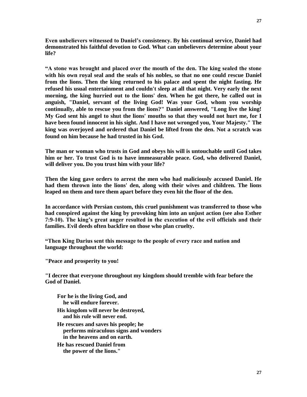**Even unbelievers witnessed to Daniel's consistency. By his continual service, Daniel had demonstrated his faithful devotion to God. What can unbelievers determine about your life?**

**"A stone was brought and placed over the mouth of the den. The king sealed the stone with his own royal seal and the seals of his nobles, so that no one could rescue Daniel from the lions. Then the king returned to his palace and spent the night fasting. He refused his usual entertainment and couldn't sleep at all that night. Very early the next morning, the king hurried out to the lions' den. When he got there, he called out in anguish, "Daniel, servant of the living God! Was your God, whom you worship continually, able to rescue you from the lions?" Daniel answered, "Long live the king! My God sent his angel to shut the lions' mouths so that they would not hurt me, for I have been found innocent in his sight. And I have not wronged you, Your Majesty." The king was overjoyed and ordered that Daniel be lifted from the den. Not a scratch was found on him because he had trusted in his God.**

**The man or woman who trusts in God and obeys his will is untouchable until God takes him or her. To trust God is to have immeasurable peace. God, who delivered Daniel, will deliver you. Do you trust him with your life?**

**Then the king gave orders to arrest the men who had maliciously accused Daniel. He had them thrown into the lions' den, along with their wives and children. The lions leaped on them and tore them apart before they even hit the floor of the den.**

**In accordance with Persian custom, this cruel punishment was transferred to those who had conspired against the king by provoking him into an unjust action (see also Esther 7:9-10). The king's great anger resulted in the execution of the evil officials and their families. Evil deeds often backfire on those who plan cruelty.**

**"Then King Darius sent this message to the people of every race and nation and language throughout the world:**

**"Peace and prosperity to you!**

**"I decree that everyone throughout my kingdom should tremble with fear before the God of Daniel.**

**For he is the living God, and he will endure forever. His kingdom will never be destroyed, and his rule will never end. He rescues and saves his people; he** 

**performs miraculous signs and wonders in the heavens and on earth.**

**He has rescued Daniel from the power of the lions."**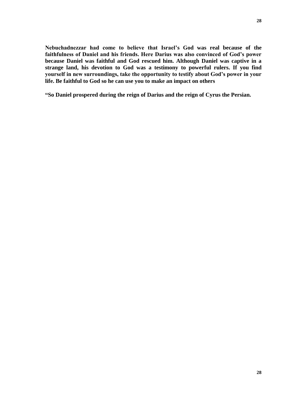**Nebuchadnezzar had come to believe that Israel's God was real because of the faithfulness of Daniel and his friends. Here Darius was also convinced of God's power because Daniel was faithful and God rescued him. Although Daniel was captive in a strange land, his devotion to God was a testimony to powerful rulers. If you find yourself in new surroundings, take the opportunity to testify about God's power in your life. Be faithful to God so he can use you to make an impact on others**

**"So Daniel prospered during the reign of Darius and the reign of Cyrus the Persian.**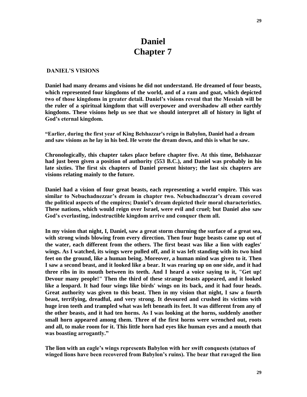## **Daniel Chapter 7**

#### **DANIEL'S VISIONS**

**Daniel had many dreams and visions he did not understand. He dreamed of four beasts, which represented four kingdoms of the world, and of a ram and goat, which depicted two of those kingdoms in greater detail. Daniel's visions reveal that the Messiah will be the ruler of a spiritual kingdom that will overpower and overshadow all other earthly kingdoms. These visions help us see that we should interpret all of history in light of God's eternal kingdom.**

**"Earlier, during the first year of King Belshazzar's reign in Babylon, Daniel had a dream and saw visions as he lay in his bed. He wrote the dream down, and this is what he saw.**

**Chronologically, this chapter takes place before chapter five. At this time, Belshazzar had just been given a position of authority (553 B.C.), and Daniel was probably in his late sixties. The first six chapters of Daniel present history; the last six chapters are visions relating mainly to the future.**

**Daniel had a vision of four great beasts, each representing a world empire. This was similar to Nebuchadnezzar's dream in chapter two. Nebuchadnezzar's dream covered the political aspects of the empires; Daniel's dream depicted their moral characteristics. These nations, which would reign over Israel, were evil and cruel; but Daniel also saw God's everlasting, indestructible kingdom arrive and conquer them all.**

**In my vision that night, I, Daniel, saw a great storm churning the surface of a great sea, with strong winds blowing from every direction. Then four huge beasts came up out of the water, each different from the others. The first beast was like a lion with eagles' wings. As I watched, its wings were pulled off, and it was left standing with its two hind feet on the ground, like a human being. Moreover, a human mind was given to it. Then I saw a second beast, and it looked like a bear. It was rearing up on one side, and it had three ribs in its mouth between its teeth. And I heard a voice saying to it, "Get up! Devour many people!" Then the third of these strange beasts appeared, and it looked like a leopard. It had four wings like birds' wings on its back, and it had four heads. Great authority was given to this beast. Then in my vision that night, I saw a fourth beast, terrifying, dreadful, and very strong. It devoured and crushed its victims with huge iron teeth and trampled what was left beneath its feet. It was different from any of the other beasts, and it had ten horns. As I was looking at the horns, suddenly another small horn appeared among them. Three of the first horns were wrenched out, roots and all, to make room for it. This little horn had eyes like human eyes and a mouth that was boasting arrogantly."**

**The lion with an eagle's wings represents Babylon with her swift conquests (statues of winged lions have been recovered from Babylon's ruins). The bear that ravaged the lion**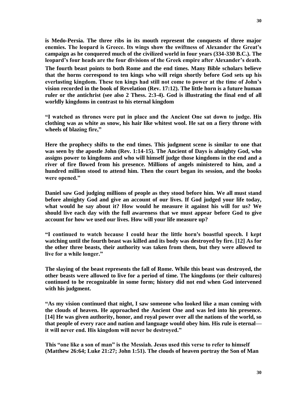**is Medo-Persia. The three ribs in its mouth represent the conquests of three major enemies. The leopard is Greece. Its wings show the swiftness of Alexander the Great's campaign as he conquered much of the civilized world in four years (334-330 B.C.). The leopard's four heads are the four divisions of the Greek empire after Alexander's death.**

**The fourth beast points to both Rome and the end times. Many Bible scholars believe that the horns correspond to ten kings who will reign shortly before God sets up his everlasting kingdom. These ten kings had still not come to power at the time of John's vision recorded in the book of Revelation (Rev. 17:12). The little horn is a future human ruler or the antichrist (see also 2 Thess. 2:3-4). God is illustrating the final end of all worldly kingdoms in contrast to his eternal kingdom**

**"I watched as thrones were put in place and the Ancient One sat down to judge. His clothing was as white as snow, his hair like whitest wool. He sat on a fiery throne with wheels of blazing fire,"**

**Here the prophecy shifts to the end times. This judgment scene is similar to one that was seen by the apostle John (Rev. 1:14-15). The Ancient of Days is almighty God, who assigns power to kingdoms and who will himself judge those kingdoms in the end and a river of fire flowed from his presence. Millions of angels ministered to him, and a hundred million stood to attend him. Then the court began its session, and the books were opened."**

**Daniel saw God judging millions of people as they stood before him. We all must stand before almighty God and give an account of our lives. If God judged your life today, what would he say about it? How would he measure it against his will for us? We should live each day with the full awareness that we must appear before God to give account for how we used our lives. How will your life measure up?**

**"I continued to watch because I could hear the little horn's boastful speech. I kept watching until the fourth beast was killed and its body was destroyed by fire. [12] As for the other three beasts, their authority was taken from them, but they were allowed to live for a while longer."**

**The slaying of the beast represents the fall of Rome. While this beast was destroyed, the other beasts were allowed to live for a period of time. The kingdoms (or their cultures) continued to be recognizable in some form; history did not end when God intervened with his judgment.**

**"As my vision continued that night, I saw someone who looked like a man coming with the clouds of heaven. He approached the Ancient One and was led into his presence. [14] He was given authority, honor, and royal power over all the nations of the world, so that people of every race and nation and language would obey him. His rule is eternal it will never end. His kingdom will never be destroyed."**

**This "one like a son of man" is the Messiah. Jesus used this verse to refer to himself (Matthew 26:64; Luke 21:27; John 1:51). The clouds of heaven portray the Son of Man**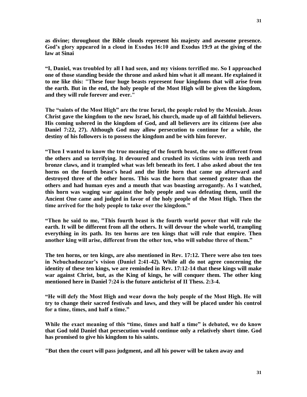**as divine; throughout the Bible clouds represent his majesty and awesome presence. God's glory appeared in a cloud in Exodus 16:10 and Exodus 19:9 at the giving of the law at Sinai**

**"I, Daniel, was troubled by all I had seen, and my visions terrified me. So I approached one of those standing beside the throne and asked him what it all meant. He explained it to me like this: "These four huge beasts represent four kingdoms that will arise from the earth. But in the end, the holy people of the Most High will be given the kingdom, and they will rule forever and ever."**

**The "saints of the Most High" are the true Israel, the people ruled by the Messiah. Jesus Christ gave the kingdom to the new Israel, his church, made up of all faithful believers. His coming ushered in the kingdom of God, and all believers are its citizens (see also Daniel 7:22, 27). Although God may allow persecution to continue for a while, the destiny of his followers is to possess the kingdom and be with him forever.**

**"Then I wanted to know the true meaning of the fourth beast, the one so different from the others and so terrifying. It devoured and crushed its victims with iron teeth and bronze claws, and it trampled what was left beneath its feet. I also asked about the ten horns on the fourth beast's head and the little horn that came up afterward and destroyed three of the other horns. This was the horn that seemed greater than the others and had human eyes and a mouth that was boasting arrogantly. As I watched, this horn was waging war against the holy people and was defeating them, until the Ancient One came and judged in favor of the holy people of the Most High. Then the time arrived for the holy people to take over the kingdom."**

**"Then he said to me, "This fourth beast is the fourth world power that will rule the earth. It will be different from all the others. It will devour the whole world, trampling everything in its path. Its ten horns are ten kings that will rule that empire. Then another king will arise, different from the other ten, who will subdue three of them."**

**The ten horns, or ten kings, are also mentioned in Rev. 17:12. There were also ten toes in Nebuchadnezzar's vision (Daniel 2:41-42). While all do not agree concerning the identity of these ten kings, we are reminded in Rev. 17:12-14 that these kings will make war against Christ, but, as the King of kings, he will conquer them. The other king mentioned here in Daniel 7:24 is the future antichrist of II Thess. 2:3-4.**

**"He will defy the Most High and wear down the holy people of the Most High. He will try to change their sacred festivals and laws, and they will be placed under his control for a time, times, and half a time."**

**While the exact meaning of this "time, times and half a time" is debated, we do know that God told Daniel that persecution would continue only a relatively short time. God has promised to give his kingdom to his saints.**

**"But then the court will pass judgment, and all his power will be taken away and**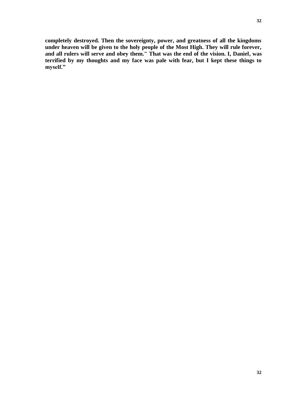**completely destroyed. Then the sovereignty, power, and greatness of all the kingdoms under heaven will be given to the holy people of the Most High. They will rule forever, and all rulers will serve and obey them." That was the end of the vision. I, Daniel, was terrified by my thoughts and my face was pale with fear, but I kept these things to myself."**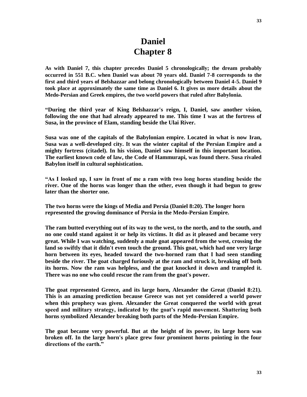## **Daniel Chapter 8**

**As with Daniel 7, this chapter precedes Daniel 5 chronologically; the dream probably occurred in 551 B.C. when Daniel was about 70 years old. Daniel 7-8 corresponds to the first and third years of Belshazzar and belong chronologically between Daniel 4-5. Daniel 9 took place at approximately the same time as Daniel 6. It gives us more details about the Medo-Persian and Greek empires, the two world powers that ruled after Babylonia.**

**"During the third year of King Belshazzar's reign, I, Daniel, saw another vision, following the one that had already appeared to me. This time I was at the fortress of Susa, in the province of Elam, standing beside the Ulai River.**

**Susa was one of the capitals of the Babylonian empire. Located in what is now Iran, Susa was a well-developed city. It was the winter capital of the Persian Empire and a mighty fortress (citadel). In his vision, Daniel saw himself in this important location. The earliest known code of law, the Code of Hammurapi, was found there. Susa rivaled Babylon itself in cultural sophistication.**

**"As I looked up, I saw in front of me a ram with two long horns standing beside the river. One of the horns was longer than the other, even though it had begun to grow later than the shorter one.**

**The two horns were the kings of Media and Persia (Daniel 8:20). The longer horn represented the growing dominance of Persia in the Medo-Persian Empire.**

**The ram butted everything out of its way to the west, to the north, and to the south, and no one could stand against it or help its victims. It did as it pleased and became very great. While I was watching, suddenly a male goat appeared from the west, crossing the land so swiftly that it didn't even touch the ground. This goat, which had one very large horn between its eyes, headed toward the two-horned ram that I had seen standing beside the river. The goat charged furiously at the ram and struck it, breaking off both its horns. Now the ram was helpless, and the goat knocked it down and trampled it. There was no one who could rescue the ram from the goat's power.**

**The goat represented Greece, and its large horn, Alexander the Great (Daniel 8:21). This is an amazing prediction because Greece was not yet considered a world power when this prophecy was given. Alexander the Great conquered the world with great speed and military strategy, indicated by the goat's rapid movement. Shattering both horns symbolized Alexander breaking both parts of the Medo-Persian Empire.**

**The goat became very powerful. But at the height of its power, its large horn was broken off. In the large horn's place grew four prominent horns pointing in the four directions of the earth."**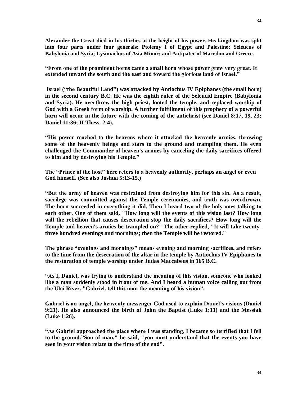**Alexander the Great died in his thirties at the height of his power. His kingdom was split into four parts under four generals: Ptolemy I of Egypt and Palestine; Seleucus of Babylonia and Syria; Lysimachus of Asia Minor; and Antipater of Macedon and Greece.**

**"From one of the prominent horns came a small horn whose power grew very great. It extended toward the south and the east and toward the glorious land of Israel."**

**Israel ("the Beautiful Land") was attacked by Antiochus IV Epiphanes (the small horn) in the second century B.C. He was the eighth ruler of the Seleucid Empire (Babylonia and Syria). He overthrew the high priest, looted the temple, and replaced worship of God with a Greek form of worship. A further fulfillment of this prophecy of a powerful horn will occur in the future with the coming of the antichrist (see Daniel 8:17, 19, 23; Daniel 11:36; II Thess. 2:4).**

**"His power reached to the heavens where it attacked the heavenly armies, throwing some of the heavenly beings and stars to the ground and trampling them. He even challenged the Commander of heaven's armies by canceling the daily sacrifices offered to him and by destroying his Temple."**

**The "Prince of the host" here refers to a heavenly authority, perhaps an angel or even God himself. (See also Joshua 5:13-15.)**

**"But the army of heaven was restrained from destroying him for this sin. As a result, sacrilege was committed against the Temple ceremonies, and truth was overthrown. The horn succeeded in everything it did. Then I heard two of the holy ones talking to each other. One of them said, "How long will the events of this vision last? How long will the rebellion that causes desecration stop the daily sacrifices? How long will the Temple and heaven's armies be trampled on?" The other replied, "It will take twentythree hundred evenings and mornings; then the Temple will be restored."**

**The phrase "evenings and mornings" means evening and morning sacrifices, and refers to the time from the desecration of the altar in the temple by Antiochus IV Epiphanes to the restoration of temple worship under Judas Maccabeus in 165 B.C.**

**"As I, Daniel, was trying to understand the meaning of this vision, someone who looked like a man suddenly stood in front of me. And I heard a human voice calling out from the Ulai River, "Gabriel, tell this man the meaning of his vision".**

**Gabriel is an angel, the heavenly messenger God used to explain Daniel's visions (Daniel 9:21). He also announced the birth of John the Baptist (Luke 1:11) and the Messiah (Luke 1:26).**

**"As Gabriel approached the place where I was standing, I became so terrified that I fell to the ground."Son of man," he said, "you must understand that the events you have seen in your vision relate to the time of the end".**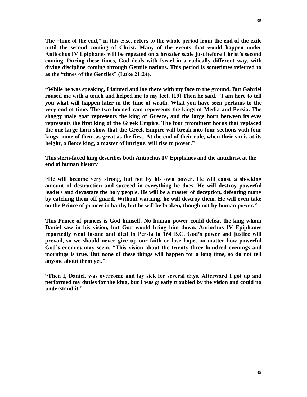**The "time of the end," in this case, refers to the whole period from the end of the exile until the second coming of Christ. Many of the events that would happen under Antiochus IV Epiphanes will be repeated on a broader scale just before Christ's second coming. During these times, God deals with Israel in a radically different way, with divine discipline coming through Gentile nations. This period is sometimes referred to as the "times of the Gentiles" (Luke 21:24).**

**"While he was speaking, I fainted and lay there with my face to the ground. But Gabriel roused me with a touch and helped me to my feet. [19] Then he said, "I am here to tell you what will happen later in the time of wrath. What you have seen pertains to the very end of time. The two-horned ram represents the kings of Media and Persia. The shaggy male goat represents the king of Greece, and the large horn between its eyes represents the first king of the Greek Empire. The four prominent horns that replaced the one large horn show that the Greek Empire will break into four sections with four kings, none of them as great as the first. At the end of their rule, when their sin is at its height, a fierce king, a master of intrigue, will rise to power."**

**This stern-faced king describes both Antiochus IV Epiphanes and the antichrist at the end of human history**

**"He will become very strong, but not by his own power. He will cause a shocking amount of destruction and succeed in everything he does. He will destroy powerful leaders and devastate the holy people. He will be a master of deception, defeating many by catching them off guard. Without warning, he will destroy them. He will even take on the Prince of princes in battle, but he will be broken, though not by human power."**

**This Prince of princes is God himself. No human power could defeat the king whom Daniel saw in his vision, but God would bring him down. Antiochus IV Epiphanes reportedly went insane and died in Persia in 164 B.C. God's power and justice will prevail, so we should never give up our faith or lose hope, no matter how powerful God's enemies may seem. "This vision about the twenty-three hundred evenings and mornings is true. But none of these things will happen for a long time, so do not tell anyone about them yet."**

**"Then I, Daniel, was overcome and lay sick for several days. Afterward I got up and performed my duties for the king, but I was greatly troubled by the vision and could no understand it."**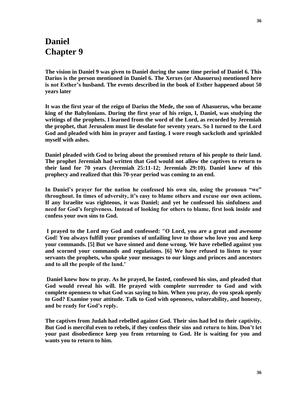## **Daniel Chapter 9**

**The vision in Daniel 9 was given to Daniel during the same time period of Daniel 6. This Darius is the person mentioned in Daniel 6. The Xerxes (or Ahasuerus) mentioned here is not Esther's husband. The events described in the book of Esther happened about 50 years later**

**It was the first year of the reign of Darius the Mede, the son of Ahasuerus, who became king of the Babylonians. During the first year of his reign, I, Daniel, was studying the writings of the prophets. I learned from the word of the Lord, as recorded by Jeremiah the prophet, that Jerusalem must lie desolate for seventy years. So I turned to the Lord God and pleaded with him in prayer and fasting. I wore rough sackcloth and sprinkled myself with ashes.**

**Daniel pleaded with God to bring about the promised return of his people to their land. The prophet Jeremiah had written that God would not allow the captives to return to their land for 70 years (Jeremiah 25:11-12; Jeremiah 29:10). Daniel knew of this prophecy and realized that this 70-year period was coming to an end.**

**In Daniel's prayer for the nation he confessed his own sin, using the pronoun "we" throughout. In times of adversity, it's easy to blame others and excuse our own actions. If any Israelite was righteous, it was Daniel; and yet he confessed his sinfulness and need for God's forgiveness. Instead of looking for others to blame, first look inside and confess your own sins to God.**

**I prayed to the Lord my God and confessed: "O Lord, you are a great and awesome God! You always fulfill your promises of unfailing love to those who love you and keep your commands. [5] But we have sinned and done wrong. We have rebelled against you and scorned your commands and regulations. [6] We have refused to listen to your servants the prophets, who spoke your messages to our kings and princes and ancestors and to all the people of the land.'**

**Daniel knew how to pray. As he prayed, he fasted, confessed his sins, and pleaded that God would reveal his will. He prayed with complete surrender to God and with complete openness to what God was saying to him. When you pray, do you speak openly to God? Examine your attitude. Talk to God with openness, vulnerability, and honesty, and be ready for God's reply.**

**The captives from Judah had rebelled against God. Their sins had led to their captivity. But God is merciful even to rebels, if they confess their sins and return to him. Don't let your past disobedience keep you from returning to God. He is waiting for you and wants you to return to him.**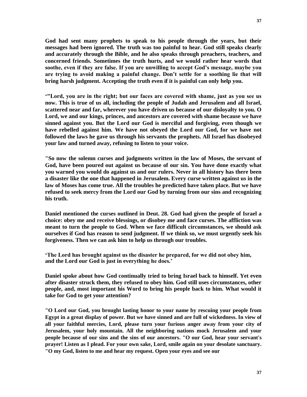**God had sent many prophets to speak to his people through the years, but their messages had been ignored. The truth was too painful to hear. God still speaks clearly and accurately through the Bible, and he also speaks through preachers, teachers, and concerned friends. Sometimes the truth hurts, and we would rather hear words that soothe, even if they are false. If you are unwilling to accept God's message, maybe you are trying to avoid making a painful change. Don't settle for a soothing lie that will bring harsh judgment. Accepting the truth even if it is painful can only help you.**

**'"Lord, you are in the right; but our faces are covered with shame, just as you see us now. This is true of us all, including the people of Judah and Jerusalem and all Israel, scattered near and far, wherever you have driven us because of our disloyalty to you. O Lord, we and our kings, princes, and ancestors are covered with shame because we have sinned against you. But the Lord our God is merciful and forgiving, even though we have rebelled against him. We have not obeyed the Lord our God, for we have not followed the laws he gave us through his servants the prophets. All Israel has disobeyed your law and turned away, refusing to listen to your voice.**

**"So now the solemn curses and judgments written in the law of Moses, the servant of God, have been poured out against us because of our sin. You have done exactly what you warned you would do against us and our rulers. Never in all history has there been a disaster like the one that happened in Jerusalem. Every curse written against us in the law of Moses has come true. All the troubles he predicted have taken place. But we have refused to seek mercy from the Lord our God by turning from our sins and recognizing his truth.**

**Daniel mentioned the curses outlined in Deut. 28. God had given the people of Israel a choice: obey me and receive blessings, or disobey me and face curses. The affliction was meant to turn the people to God. When we face difficult circumstances, we should ask ourselves if God has reason to send judgment. If we think so, we must urgently seek his forgiveness. Then we can ask him to help us through our troubles.**

**'The Lord has brought against us the disaster he prepared, for we did not obey him, and the Lord our God is just in everything he does.'**

**Daniel spoke about how God continually tried to bring Israel back to himself. Yet even after disaster struck them, they refused to obey him. God still uses circumstances, other people, and, most important his Word to bring his people back to him. What would it take for God to get your attention?**

**"O Lord our God, you brought lasting honor to your name by rescuing your people from Egypt in a great display of power. But we have sinned and are full of wickedness. In view of all your faithful mercies, Lord, please turn your furious anger away from your city of Jerusalem, your holy mountain. All the neighboring nations mock Jerusalem and your people because of our sins and the sins of our ancestors. "O our God, hear your servant's prayer! Listen as I plead. For your own sake, Lord, smile again on your desolate sanctuary. "O my God, listen to me and hear my request. Open your eyes and see our**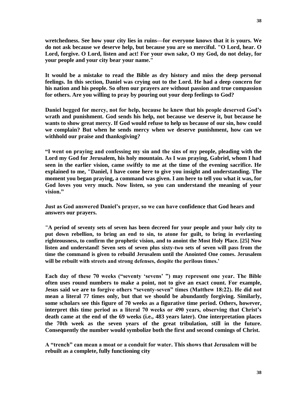**wretchedness. See how your city lies in ruins—for everyone knows that it is yours. We do not ask because we deserve help, but because you are so merciful. "O Lord, hear. O Lord, forgive. O Lord, listen and act! For your own sake, O my God, do not delay, for your people and your city bear your name."**

**It would be a mistake to read the Bible as dry history and miss the deep personal feelings. In this section, Daniel was crying out to the Lord. He had a deep concern for his nation and his people. So often our prayers are without passion and true compassion for others. Are you willing to pray by pouring out your deep feelings to God?**

**Daniel begged for mercy, not for help, because he knew that his people deserved God's wrath and punishment. God sends his help, not because we deserve it, but because he wants to show great mercy. If God would refuse to help us because of our sin, how could we complain? But when he sends mercy when we deserve punishment, how can we withhold our praise and thanksgiving?**

**"I went on praying and confessing my sin and the sins of my people, pleading with the Lord my God for Jerusalem, his holy mountain. As I was praying, Gabriel, whom I had seen in the earlier vision, came swiftly to me at the time of the evening sacrifice. He explained to me, "Daniel, I have come here to give you insight and understanding. The moment you began praying, a command was given. I am here to tell you what it was, for God loves you very much. Now listen, so you can understand the meaning of your vision."**

**Just as God answered Daniel's prayer, so we can have confidence that God hears and answers our prayers.**

**"A period of seventy sets of seven has been decreed for your people and your holy city to put down rebellion, to bring an end to sin, to atone for guilt, to bring in everlasting righteousness, to confirm the prophetic vision, and to anoint the Most Holy Place. [25] Now listen and understand! Seven sets of seven plus sixty-two sets of seven will pass from the time the command is given to rebuild Jerusalem until the Anointed One comes. Jerusalem will be rebuilt with streets and strong defenses, despite the perilous times.'**

**Each day of these 70 weeks ("seventy 'sevens' ") may represent one year. The Bible often uses round numbers to make a point, not to give an exact count. For example, Jesus said we are to forgive others "seventy-seven" times (Matthew 18:22). He did not mean a literal 77 times only, but that we should be abundantly forgiving. Similarly, some scholars see this figure of 70 weeks as a figurative time period. Others, however, interpret this time period as a literal 70 weeks or 490 years, observing that Christ's death came at the end of the 69 weeks (i.e., 483 years later). One interpretation places the 70th week as the seven years of the great tribulation, still in the future. Consequently the number would symbolize both the first and second comings of Christ.**

**A "trench" can mean a moat or a conduit for water. This shows that Jerusalem will be rebuilt as a complete, fully functioning city**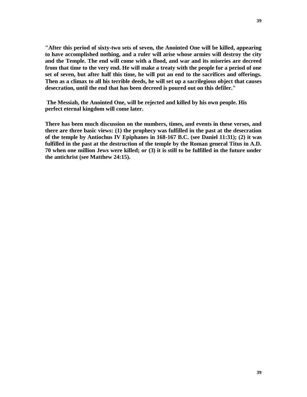**"After this period of sixty-two sets of seven, the Anointed One will be killed, appearing to have accomplished nothing, and a ruler will arise whose armies will destroy the city and the Temple. The end will come with a flood, and war and its miseries are decreed from that time to the very end. He will make a treaty with the people for a period of one set of seven, but after half this time, he will put an end to the sacrifices and offerings. Then as a climax to all his terrible deeds, he will set up a sacrilegious object that causes desecration, until the end that has been decreed is poured out on this defiler."**

**The Messiah, the Anointed One, will be rejected and killed by his own people. His perfect eternal kingdom will come later.**

**There has been much discussion on the numbers, times, and events in these verses, and there are three basic views: (1) the prophecy was fulfilled in the past at the desecration of the temple by Antiochus IV Epiphanes in 168-167 B.C. (see Daniel 11:31); (2) it was fulfilled in the past at the destruction of the temple by the Roman general Titus in A.D. 70 when one million Jews were killed; or (3) it is still to be fulfilled in the future under the antichrist (see Matthew 24:15).**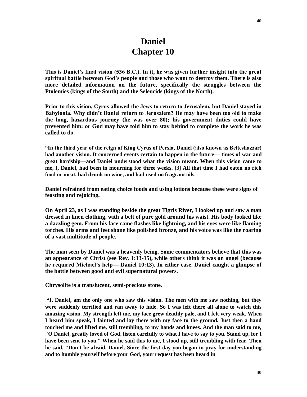## **Daniel Chapter 10**

**This is Daniel's final vision (536 B.C.). In it, he was given further insight into the great spiritual battle between God's people and those who want to destroy them. There is also more detailed information on the future, specifically the struggles between the Ptolemies (kings of the South) and the Seleucids (kings of the North).**

**Prior to this vision, Cyrus allowed the Jews to return to Jerusalem, but Daniel stayed in Babylonia. Why didn't Daniel return to Jerusalem? He may have been too old to make the long, hazardous journey (he was over 80); his government duties could have prevented him; or God may have told him to stay behind to complete the work he was called to do.**

**"In the third year of the reign of King Cyrus of Persia, Daniel (also known as Belteshazzar) had another vision. It concerned events certain to happen in the future— times of war and great hardship—and Daniel understood what the vision meant. When this vision came to me, I, Daniel, had been in mourning for three weeks. [3] All that time I had eaten no rich food or meat, had drunk no wine, and had used no fragrant oils.**

**Daniel refrained from eating choice foods and using lotions because these were signs of feasting and rejoicing.**

**On April 23, as I was standing beside the great Tigris River, I looked up and saw a man dressed in linen clothing, with a belt of pure gold around his waist. His body looked like a dazzling gem. From his face came flashes like lightning, and his eyes were like flaming torches. His arms and feet shone like polished bronze, and his voice was like the roaring of a vast multitude of people.**

**The man seen by Daniel was a heavenly being. Some commentators believe that this was an appearance of Christ (see Rev. 1:13-15), while others think it was an angel (because he required Michael's help— Daniel 10:13). In either case, Daniel caught a glimpse of the battle between good and evil supernatural powers.**

**Chrysolite is a translucent, semi-precious stone.**

**"I, Daniel, am the only one who saw this vision. The men with me saw nothing, but they were suddenly terrified and ran away to hide. So I was left there all alone to watch this amazing vision. My strength left me, my face grew deathly pale, and I felt very weak. When I heard him speak, I fainted and lay there with my face to the ground. Just then a hand touched me and lifted me, still trembling, to my hands and knees. And the man said to me, "O Daniel, greatly loved of God, listen carefully to what I have to say to you. Stand up, for I have been sent to you." When he said this to me, I stood up, still trembling with fear. Then he said, "Don't be afraid, Daniel. Since the first day you began to pray for understanding and to humble yourself before your God, your request has been heard in**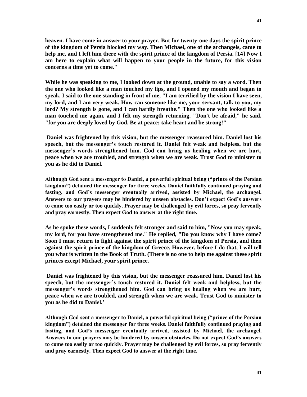**heaven. I have come in answer to your prayer. But for twenty-one days the spirit prince of the kingdom of Persia blocked my way. Then Michael, one of the archangels, came to help me, and I left him there with the spirit prince of the kingdom of Persia. [14] Now I am here to explain what will happen to your people in the future, for this vision concerns a time yet to come."**

**While he was speaking to me, I looked down at the ground, unable to say a word. Then the one who looked like a man touched my lips, and I opened my mouth and began to speak. I said to the one standing in front of me, "I am terrified by the vision I have seen, my lord, and I am very weak. How can someone like me, your servant, talk to you, my lord? My strength is gone, and I can hardly breathe." Then the one who looked like a man touched me again, and I felt my strength returning. "Don't be afraid," he said, "for you are deeply loved by God. Be at peace; take heart and be strong!"**

**Daniel was frightened by this vision, but the messenger reassured him. Daniel lost his speech, but the messenger's touch restored it. Daniel felt weak and helpless, but the messenger's words strengthened him. God can bring us healing when we are hurt, peace when we are troubled, and strength when we are weak. Trust God to minister to you as he did to Daniel.**

**Although God sent a messenger to Daniel, a powerful spiritual being ("prince of the Persian kingdom") detained the messenger for three weeks. Daniel faithfully continued praying and fasting, and God's messenger eventually arrived, assisted by Michael, the archangel. Answers to our prayers may be hindered by unseen obstacles. Don't expect God's answers to come too easily or too quickly. Prayer may be challenged by evil forces, so pray fervently and pray earnestly. Then expect God to answer at the right time.**

**As he spoke these words, I suddenly felt stronger and said to him, "Now you may speak, my lord, for you have strengthened me." He replied, "Do you know why I have come? Soon I must return to fight against the spirit prince of the kingdom of Persia, and then against the spirit prince of the kingdom of Greece. However, before I do that, I will tell you what is written in the Book of Truth. (There is no one to help me against these spirit princes except Michael, your spirit prince.**

**Daniel was frightened by this vision, but the messenger reassured him. Daniel lost his speech, but the messenger's touch restored it. Daniel felt weak and helpless, but the messenger's words strengthened him. God can bring us healing when we are hurt, peace when we are troubled, and strength when we are weak. Trust God to minister to you as he did to Daniel.'**

**Although God sent a messenger to Daniel, a powerful spiritual being ("prince of the Persian kingdom") detained the messenger for three weeks. Daniel faithfully continued praying and fasting, and God's messenger eventually arrived, assisted by Michael, the archangel. Answers to our prayers may be hindered by unseen obstacles. Do not expect God's answers to come too easily or too quickly. Prayer may be challenged by evil forces, so pray fervently and pray earnestly. Then expect God to answer at the right time.**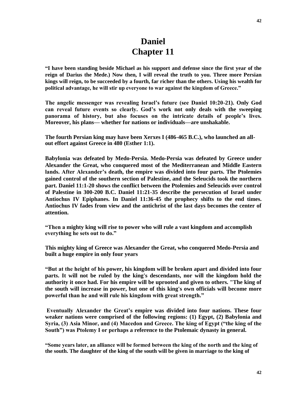**42**

## **Daniel Chapter 11**

**"I have been standing beside Michael as his support and defense since the first year of the reign of Darius the Mede.) Now then, I will reveal the truth to you. Three more Persian kings will reign, to be succeeded by a fourth, far richer than the others. Using his wealth for political advantage, he will stir up everyone to war against the kingdom of Greece."**

**The angelic messenger was revealing Israel's future (see Daniel 10:20-21). Only God can reveal future events so clearly. God's work not only deals with the sweeping panorama of history, but also focuses on the intricate details of people's lives. Moreover, his plans— whether for nations or individuals—are unshakable.**

**The fourth Persian king may have been Xerxes I (486-465 B.C.), who launched an allout effort against Greece in 480 (Esther 1:1).**

**Babylonia was defeated by Medo-Persia. Medo-Persia was defeated by Greece under Alexander the Great, who conquered most of the Mediterranean and Middle Eastern lands. After Alexander's death, the empire was divided into four parts. The Ptolemies gained control of the southern section of Palestine, and the Seleucids took the northern part. Daniel 11:1-20 shows the conflict between the Ptolemies and Seleucids over control of Palestine in 300-200 B.C. Daniel 11:21-35 describe the persecution of Israel under Antiochus IV Epiphanes. In Daniel 11:36-45 the prophecy shifts to the end times. Antiochus IV fades from view and the antichrist of the last days becomes the center of attention.**

**"Then a mighty king will rise to power who will rule a vast kingdom and accomplish everything he sets out to do."**

**This mighty king of Greece was Alexander the Great, who conquered Medo-Persia and built a huge empire in only four years**

**"But at the height of his power, his kingdom will be broken apart and divided into four parts. It will not be ruled by the king's descendants, nor will the kingdom hold the authority it once had. For his empire will be uprooted and given to others. "The king of the south will increase in power, but one of this king's own officials will become more powerful than he and will rule his kingdom with great strength."**

**Eventually Alexander the Great's empire was divided into four nations. These four weaker nations were comprised of the following regions: (1) Egypt, (2) Babylonia and Syria, (3) Asia Minor, and (4) Macedon and Greece. The king of Egypt ("the king of the South") was Ptolemy I or perhaps a reference to the Ptolemaic dynasty in general.**

**"Some years later, an alliance will be formed between the king of the north and the king of the south. The daughter of the king of the south will be given in marriage to the king of**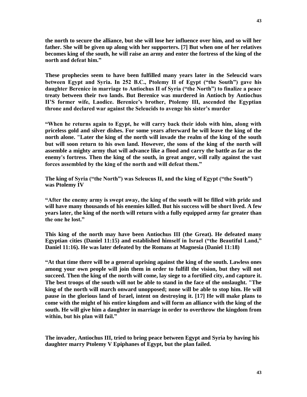**the north to secure the alliance, but she will lose her influence over him, and so will her father. She will be given up along with her supporters. [7] But when one of her relatives becomes king of the south, he will raise an army and enter the fortress of the king of the north and defeat him."**

**These prophecies seem to have been fulfilled many years later in the Seleucid wars between Egypt and Syria. In 252 B.C., Ptolemy II of Egypt ("the South") gave his daughter Berenice in marriage to Antiochus II of Syria ("the North") to finalize a peace treaty between their two lands. But Berenice was murdered in Antioch by Antiochus II'S former wife, Laodice. Berenice's brother, Ptolemy III, ascended the Egyptian throne and declared war against the Seleucids to avenge his sister's murder**

**"When he returns again to Egypt, he will carry back their idols with him, along with priceless gold and silver dishes. For some years afterward he will leave the king of the north alone. "Later the king of the north will invade the realm of the king of the south but will soon return to his own land. However, the sons of the king of the north will assemble a mighty army that will advance like a flood and carry the battle as far as the enemy's fortress. Then the king of the south, in great anger, will rally against the vast forces assembled by the king of the north and will defeat them."**

**The king of Syria ("the North") was Seleucus II, and the king of Egypt ("the South") was Ptolemy IV**

**"After the enemy army is swept away, the king of the south will be filled with pride and will have many thousands of his enemies killed. But his success will be short lived. A few years later, the king of the north will return with a fully equipped army far greater than the one he lost."**

**This king of the north may have been Antiochus III (the Great). He defeated many Egyptian cities (Daniel 11:15) and established himself in Israel ("the Beautiful Land," Daniel 11:16). He was later defeated by the Romans at Magnesia (Daniel 11:18)**

**"At that time there will be a general uprising against the king of the south. Lawless ones among your own people will join them in order to fulfill the vision, but they will not succeed. Then the king of the north will come, lay siege to a fortified city, and capture it. The best troops of the south will not be able to stand in the face of the onslaught. "The king of the north will march onward unopposed; none will be able to stop him. He will pause in the glorious land of Israel, intent on destroying it. [17] He will make plans to come with the might of his entire kingdom and will form an alliance with the king of the south. He will give him a daughter in marriage in order to overthrow the kingdom from within, but his plan will fail."**

**The invader, Antiochus III, tried to bring peace between Egypt and Syria by having his daughter marry Ptolemy V Epiphanes of Egypt, but the plan failed.**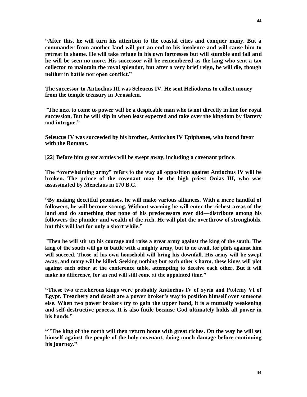**"After this, he will turn his attention to the coastal cities and conquer many. But a commander from another land will put an end to his insolence and will cause him to retreat in shame. He will take refuge in his own fortresses but will stumble and fall and he will be seen no more. His successor will be remembered as the king who sent a tax collector to maintain the royal splendor, but after a very brief reign, he will die, though neither in battle nor open conflict."**

**The successor to Antiochus III was Seleucus IV. He sent Heliodorus to collect money from the temple treasury in Jerusalem.**

**"The next to come to power will be a despicable man who is not directly in line for royal succession. But he will slip in when least expected and take over the kingdom by flattery and intrigue."**

**Seleucus IV was succeeded by his brother, Antiochus IV Epiphanes, who found favor with the Romans.**

**[22] Before him great armies will be swept away, including a covenant prince.**

**The "overwhelming army" refers to the way all opposition against Antiochus IV will be broken. The prince of the covenant may be the high priest Onias III, who was assassinated by Menelaus in 170 B.C.**

**"By making deceitful promises, he will make various alliances. With a mere handful of followers, he will become strong. Without warning he will enter the richest areas of the land and do something that none of his predecessors ever did—distribute among his followers the plunder and wealth of the rich. He will plot the overthrow of strongholds, but this will last for only a short while."**

**"Then he will stir up his courage and raise a great army against the king of the south. The king of the south will go to battle with a mighty army, but to no avail, for plots against him will succeed. Those of his own household will bring his downfall. His army will be swept away, and many will be killed. Seeking nothing but each other's harm, these kings will plot against each other at the conference table, attempting to deceive each other. But it will make no difference, for an end will still come at the appointed time."**

**"These two treacherous kings were probably Antiochus IV of Syria and Ptolemy VI of Egypt. Treachery and deceit are a power broker's way to position himself over someone else. When two power brokers try to gain the upper hand, it is a mutually weakening and self-destructive process. It is also futile because God ultimately holds all power in his hands."**

**""The king of the north will then return home with great riches. On the way he will set himself against the people of the holy covenant, doing much damage before continuing his journey."**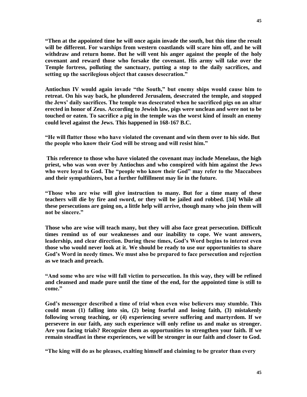**"Then at the appointed time he will once again invade the south, but this time the result will be different. For warships from western coastlands will scare him off, and he will withdraw and return home. But he will vent his anger against the people of the holy covenant and reward those who forsake the covenant. His army will take over the Temple fortress, polluting the sanctuary, putting a stop to the daily sacrifices, and setting up the sacrilegious object that causes desecration."**

**Antiochus IV would again invade "the South," but enemy ships would cause him to retreat. On his way back, he plundered Jerusalem, desecrated the temple, and stopped the Jews' daily sacrifices. The temple was desecrated when he sacrificed pigs on an altar erected in honor of Zeus. According to Jewish law, pigs were unclean and were not to be touched or eaten. To sacrifice a pig in the temple was the worst kind of insult an enemy could level against the Jews. This happened in 168-167 B.C.**

**"He will flatter those who have violated the covenant and win them over to his side. But the people who know their God will be strong and will resist him."**

**This reference to those who have violated the covenant may include Menelaus, the high priest, who was won over by Antiochus and who conspired with him against the Jews who were loyal to God. The "people who know their God" may refer to the Maccabees and their sympathizers, but a further fulfillment may lie in the future.**

**"Those who are wise will give instruction to many. But for a time many of these teachers will die by fire and sword, or they will be jailed and robbed. [34] While all these persecutions are going on, a little help will arrive, though many who join them will not be sincere."**

**Those who are wise will teach many, but they will also face great persecution. Difficult times remind us of our weaknesses and our inability to cope. We want answers, leadership, and clear direction. During these times, God's Word begins to interest even those who would never look at it. We should be ready to use our opportunities to share God's Word in needy times. We must also be prepared to face persecution and rejection as we teach and preach.**

**"And some who are wise will fall victim to persecution. In this way, they will be refined and cleansed and made pure until the time of the end, for the appointed time is still to come."**

**God's messenger described a time of trial when even wise believers may stumble. This could mean (1) falling into sin, (2) being fearful and losing faith, (3) mistakenly following wrong teaching, or (4) experiencing severe suffering and martyrdom. If we persevere in our faith, any such experience will only refine us and make us stronger. Are you facing trials? Recognize them as opportunities to strengthen your faith. If we remain steadfast in these experiences, we will be stronger in our faith and closer to God.**

**"The king will do as he pleases, exalting himself and claiming to be greater than every**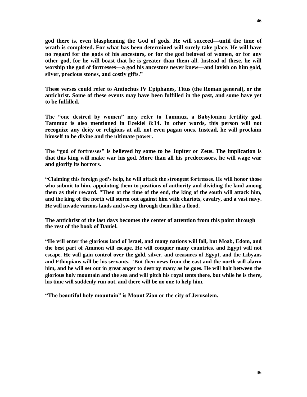**god there is, even blaspheming the God of gods. He will succeed—until the time of wrath is completed. For what has been determined will surely take place. He will have no regard for the gods of his ancestors, or for the god beloved of women, or for any other god, for he will boast that he is greater than them all. Instead of these, he will worship the god of fortresses—a god his ancestors never knew—and lavish on him gold, silver, precious stones, and costly gifts."**

**These verses could refer to Antiochus IV Epiphanes, Titus (the Roman general), or the antichrist. Some of these events may have been fulfilled in the past, and some have yet to be fulfilled.**

**The "one desired by women" may refer to Tammuz, a Babylonian fertility god. Tammuz is also mentioned in Ezekiel 8:14. In other words, this person will not recognize any deity or religions at all, not even pagan ones. Instead, he will proclaim himself to be divine and the ultimate power.**

**The "god of fortresses" is believed by some to be Jupiter or Zeus. The implication is that this king will make war his god. More than all his predecessors, he will wage war and glorify its horrors.**

**"Claiming this foreign god's help, he will attack the strongest fortresses. He will honor those who submit to him, appointing them to positions of authority and dividing the land among them as their reward. "Then at the time of the end, the king of the south will attack him, and the king of the north will storm out against him with chariots, cavalry, and a vast navy. He will invade various lands and sweep through them like a flood.**

**The antichrist of the last days becomes the center of attention from this point through the rest of the book of Daniel.**

**"He will enter the glorious land of Israel, and many nations will fall, but Moab, Edom, and the best part of Ammon will escape. He will conquer many countries, and Egypt will not escape. He will gain control over the gold, silver, and treasures of Egypt, and the Libyans and Ethiopians will be his servants. "But then news from the east and the north will alarm him, and he will set out in great anger to destroy many as he goes. He will halt between the glorious holy mountain and the sea and will pitch his royal tents there, but while he is there, his time will suddenly run out, and there will be no one to help him.**

**"The beautiful holy mountain" is Mount Zion or the city of Jerusalem.**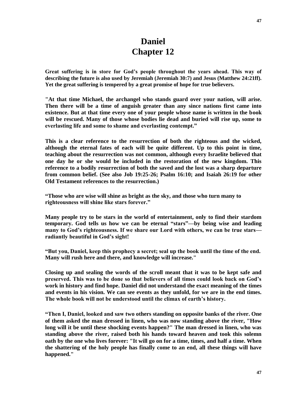## **Daniel**

#### **Chapter 12**

**Great suffering is in store for God's people throughout the years ahead. This way of describing the future is also used by Jeremiah (Jeremiah 30:7) and Jesus (Matthew 24:21ff). Yet the great suffering is tempered by a great promise of hope for true believers.**

**"At that time Michael, the archangel who stands guard over your nation, will arise. Then there will be a time of anguish greater than any since nations first came into existence. But at that time every one of your people whose name is written in the book will be rescued. Many of those whose bodies lie dead and buried will rise up, some to everlasting life and some to shame and everlasting contempt."**

**This is a clear reference to the resurrection of both the righteous and the wicked, although the eternal fates of each will be quite different. Up to this point in time, teaching about the resurrection was not common, although every Israelite believed that one day he or she would be included in the restoration of the new kingdom. This reference to a bodily resurrection of both the saved and the lost was a sharp departure from common belief. (See also Job 19:25-26; Psalm 16:10; and Isaiah 26:19 for other Old Testament references to the resurrection.)**

**"Those who are wise will shine as bright as the sky, and those who turn many to righteousness will shine like stars forever."**

**Many people try to be stars in the world of entertainment, only to find their stardom temporary. God tells us how we can be eternal "stars"—by being wise and leading many to God's righteousness. If we share our Lord with others, we can be true stars radiantly beautiful in God's sight!**

**"But you, Daniel, keep this prophecy a secret; seal up the book until the time of the end. Many will rush here and there, and knowledge will increase."**

**Closing up and sealing the words of the scroll meant that it was to be kept safe and preserved. This was to be done so that believers of all times could look back on God's work in history and find hope. Daniel did not understand the exact meaning of the times and events in his vision. We can see events as they unfold, for we are in the end times. The whole book will not be understood until the climax of earth's history.**

**"Then I, Daniel, looked and saw two others standing on opposite banks of the river. One of them asked the man dressed in linen, who was now standing above the river, "How long will it be until these shocking events happen?" The man dressed in linen, who was standing above the river, raised both his hands toward heaven and took this solemn oath by the one who lives forever: "It will go on for a time, times, and half a time. When the shattering of the holy people has finally come to an end, all these things will have happened."**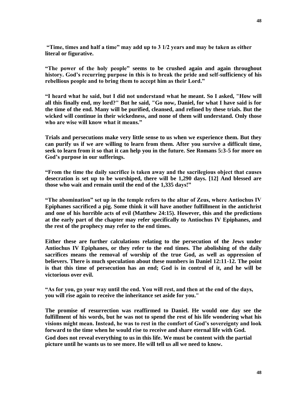**"Time, times and half a time" may add up to 3 1/2 years and may be taken as either literal or figurative.**

**"The power of the holy people" seems to be crushed again and again throughout history. God's recurring purpose in this is to break the pride and self-sufficiency of his rebellious people and to bring them to accept him as their Lord."**

**"I heard what he said, but I did not understand what he meant. So I asked, "How will all this finally end, my lord?" But he said, "Go now, Daniel, for what I have said is for the time of the end. Many will be purified, cleansed, and refined by these trials. But the wicked will continue in their wickedness, and none of them will understand. Only those who are wise will know what it means."**

**Trials and persecutions make very little sense to us when we experience them. But they can purify us if we are willing to learn from them. After you survive a difficult time, seek to learn from it so that it can help you in the future. See Romans 5:3-5 for more on God's purpose in our sufferings.**

**"From the time the daily sacrifice is taken away and the sacrilegious object that causes desecration is set up to be worshiped, there will be 1,290 days. [12] And blessed are those who wait and remain until the end of the 1,335 days!"**

**"The abomination" set up in the temple refers to the altar of Zeus, where Antiochus IV Epiphanes sacrificed a pig. Some think it will have another fulfillment in the antichrist and one of his horrible acts of evil (Matthew 24:15). However, this and the predictions at the early part of the chapter may refer specifically to Antiochus IV Epiphanes, and the rest of the prophecy may refer to the end times.**

**Either these are further calculations relating to the persecution of the Jews under Antiochus IV Epiphanes, or they refer to the end times. The abolishing of the daily sacrifices means the removal of worship of the true God, as well as oppression of believers. There is much speculation about these numbers in Daniel 12:11-12. The point is that this time of persecution has an end; God is in control of it, and he will be victorious over evil.**

**"As for you, go your way until the end. You will rest, and then at the end of the days, you will rise again to receive the inheritance set aside for you."**

**The promise of resurrection was reaffirmed to Daniel. He would one day see the fulfillment of his words, but he was not to spend the rest of his life wondering what his visions might mean. Instead, he was to rest in the comfort of God's sovereignty and look forward to the time when he would rise to receive and share eternal life with God.**

**God does not reveal everything to us in this life. We must be content with the partial picture until he wants us to see more. He will tell us all we need to know.**